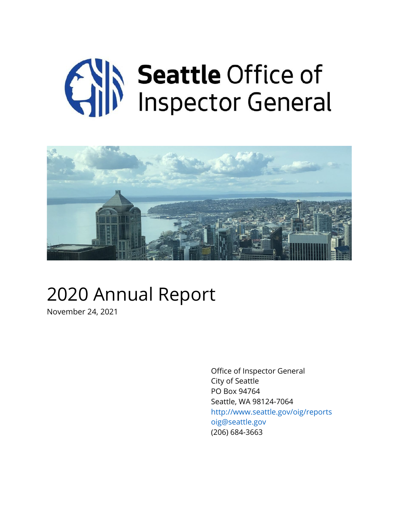# **Canadian Seattle Office of**<br>
Inspector General



### 2020 Annual Report

November 24, 2021

Office of Inspector General City of Seattle PO Box 94764 Seattle, WA 98124-7064 http://www.seattle.gov/oig/reports oig@seattle.gov (206) 684-3663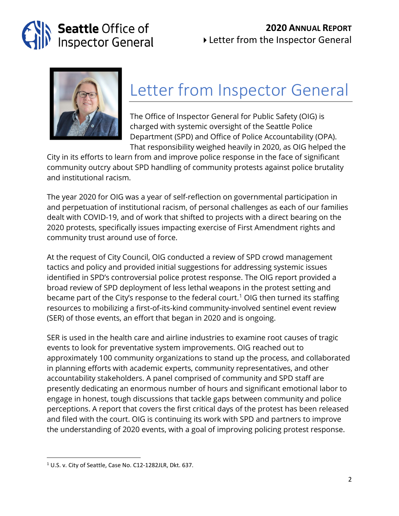### **2020 ANNUAL REPORT**



Letter from the Inspector General



### Letter from Inspector General

The Office of Inspector General for Public Safety (OIG) is charged with systemic oversight of the Seattle Police Department (SPD) and Office of Police Accountability (OPA). That responsibility weighed heavily in 2020, as OIG helped the

City in its efforts to learn from and improve police response in the face of significant community outcry about SPD handling of community protests against police brutality and institutional racism.

The year 2020 for OIG was a year of self-reflection on governmental participation in and perpetuation of institutional racism, of personal challenges as each of our families dealt with COVID-19, and of work that shifted to projects with a direct bearing on the 2020 protests, specifically issues impacting exercise of First Amendment rights and community trust around use of force.

At the request of City Council, OIG conducted a review of SPD crowd management tactics and policy and provided initial suggestions for addressing systemic issues identified in SPD's controversial police protest response. The OIG report provided a broad review of SPD deployment of less lethal weapons in the protest setting and became part of the City's response to the federal court.<sup>[1](#page-1-0)</sup> OIG then turned its staffing resources to mobilizing a first-of-its-kind community-involved sentinel event review (SER) of those events, an effort that began in 2020 and is ongoing.

SER is used in the health care and airline industries to examine root causes of tragic events to look for preventative system improvements. OIG reached out to approximately 100 community organizations to stand up the process, and collaborated in planning efforts with academic experts, community representatives, and other accountability stakeholders. A panel comprised of community and SPD staff are presently dedicating an enormous number of hours and significant emotional labor to engage in honest, tough discussions that tackle gaps between community and police perceptions. A report that covers the first critical days of the protest has been released and filed with the court. OIG is continuing its work with SPD and partners to improve the understanding of 2020 events, with a goal of improving policing protest response.

<span id="page-1-0"></span><sup>1</sup> U.S. v. City of Seattle, Case No. C12-1282JLR, Dkt. 637.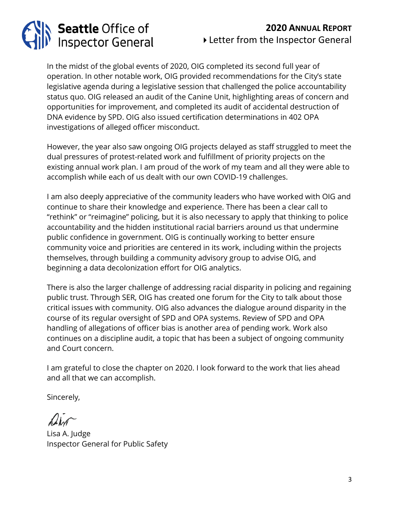# Seattle Office of<br>Inspector General

### **2020 ANNUAL REPORT** Letter from the Inspector General

In the midst of the global events of 2020, OIG completed its second full year of operation. In other notable work, OIG provided recommendations for the City's state legislative agenda during a legislative session that challenged the police accountability status quo. OIG released an audit of the Canine Unit, highlighting areas of concern and opportunities for improvement, and completed its audit of accidental destruction of DNA evidence by SPD. OIG also issued certification determinations in 402 OPA investigations of alleged officer misconduct.

However, the year also saw ongoing OIG projects delayed as staff struggled to meet the dual pressures of protest-related work and fulfillment of priority projects on the existing annual work plan. I am proud of the work of my team and all they were able to accomplish while each of us dealt with our own COVID-19 challenges.

I am also deeply appreciative of the community leaders who have worked with OIG and continue to share their knowledge and experience. There has been a clear call to "rethink" or "reimagine" policing, but it is also necessary to apply that thinking to police accountability and the hidden institutional racial barriers around us that undermine public confidence in government. OIG is continually working to better ensure community voice and priorities are centered in its work, including within the projects themselves, through building a community advisory group to advise OIG, and beginning a data decolonization effort for OIG analytics.

There is also the larger challenge of addressing racial disparity in policing and regaining public trust. Through SER, OIG has created one forum for the City to talk about those critical issues with community. OIG also advances the dialogue around disparity in the course of its regular oversight of SPD and OPA systems. Review of SPD and OPA handling of allegations of officer bias is another area of pending work. Work also continues on a discipline audit, a topic that has been a subject of ongoing community and Court concern.

I am grateful to close the chapter on 2020. I look forward to the work that lies ahead and all that we can accomplish.

Sincerely,

Lisa A. Judge Inspector General for Public Safety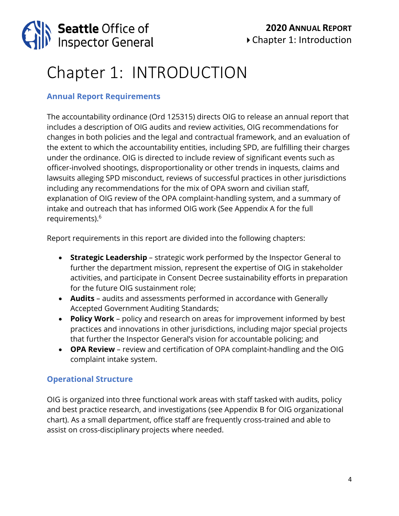

### Chapter 1: INTRODUCTION

### **Annual Report Requirements**

The accountability ordinance (Ord 125315) directs OIG to release an annual report that includes a description of OIG audits and review activities, OIG recommendations for changes in both policies and the legal and contractual framework, and an evaluation of the extent to which the accountability entities, including SPD, are fulfilling their charges under the ordinance. OIG is directed to include review of significant events such as officer-involved shootings, disproportionality or other trends in inquests, claims and lawsuits alleging SPD misconduct, reviews of successful practices in other jurisdictions including any recommendations for the mix of OPA sworn and civilian staff, explanation of OIG review of the OPA complaint-handling system, and a summary of intake and outreach that has informed OIG work (See Appendix A for the full requirements).6

Report requirements in this report are divided into the following chapters:

- **Strategic Leadership** strategic work performed by the Inspector General to further the department mission, represent the expertise of OIG in stakeholder activities, and participate in Consent Decree sustainability efforts in preparation for the future OIG sustainment role;
- **Audits** audits and assessments performed in accordance with Generally Accepted Government Auditing Standards;
- **Policy Work** policy and research on areas for improvement informed by best practices and innovations in other jurisdictions, including major special projects that further the Inspector General's vision for accountable policing; and
- **OPA Review** review and certification of OPA complaint-handling and the OIG complaint intake system.

### **Operational Structure**

OIG is organized into three functional work areas with staff tasked with audits, policy and best practice research, and investigations (see Appendix B for OIG organizational chart). As a small department, office staff are frequently cross-trained and able to assist on cross-disciplinary projects where needed.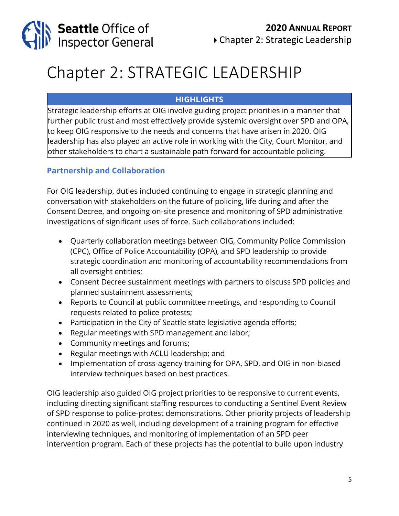

### Chapter 2: STRATEGIC LEADERSHIP

### **HIGHLIGHTS**

Strategic leadership efforts at OIG involve guiding project priorities in a manner that further public trust and most effectively provide systemic oversight over SPD and OPA, to keep OIG responsive to the needs and concerns that have arisen in 2020. OIG leadership has also played an active role in working with the City, Court Monitor, and other stakeholders to chart a sustainable path forward for accountable policing.

### **Partnership and Collaboration**

For OIG leadership, duties included continuing to engage in strategic planning and conversation with stakeholders on the future of policing, life during and after the Consent Decree, and ongoing on-site presence and monitoring of SPD administrative investigations of significant uses of force. Such collaborations included:

- Quarterly collaboration meetings between OIG, Community Police Commission (CPC), Office of Police Accountability (OPA), and SPD leadership to provide strategic coordination and monitoring of accountability recommendations from all oversight entities;
- Consent Decree sustainment meetings with partners to discuss SPD policies and planned sustainment assessments;
- Reports to Council at public committee meetings, and responding to Council requests related to police protests;
- Participation in the City of Seattle state legislative agenda efforts;
- Regular meetings with SPD management and labor;
- Community meetings and forums;
- Regular meetings with ACLU leadership; and
- Implementation of cross-agency training for OPA, SPD, and OIG in non-biased interview techniques based on best practices.

OIG leadership also guided OIG project priorities to be responsive to current events, including directing significant staffing resources to conducting a Sentinel Event Review of SPD response to police-protest demonstrations. Other priority projects of leadership continued in 2020 as well, including development of a training program for effective interviewing techniques, and monitoring of implementation of an SPD peer intervention program. Each of these projects has the potential to build upon industry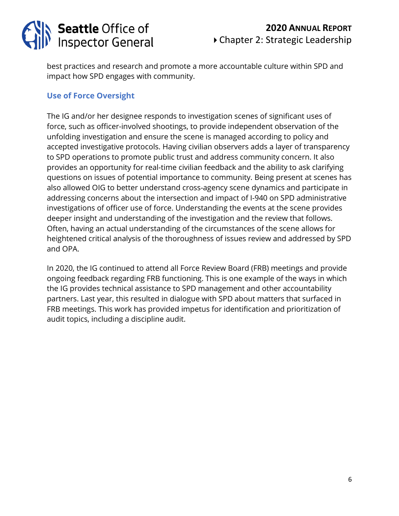

best practices and research and promote a more accountable culture within SPD and impact how SPD engages with community.

### **Use of Force Oversight**

The IG and/or her designee responds to investigation scenes of significant uses of force, such as officer-involved shootings, to provide independent observation of the unfolding investigation and ensure the scene is managed according to policy and accepted investigative protocols. Having civilian observers adds a layer of transparency to SPD operations to promote public trust and address community concern. It also provides an opportunity for real-time civilian feedback and the ability to ask clarifying questions on issues of potential importance to community. Being present at scenes has also allowed OIG to better understand cross-agency scene dynamics and participate in addressing concerns about the intersection and impact of I-940 on SPD administrative investigations of officer use of force. Understanding the events at the scene provides deeper insight and understanding of the investigation and the review that follows. Often, having an actual understanding of the circumstances of the scene allows for heightened critical analysis of the thoroughness of issues review and addressed by SPD and OPA.

In 2020, the IG continued to attend all Force Review Board (FRB) meetings and provide ongoing feedback regarding FRB functioning. This is one example of the ways in which the IG provides technical assistance to SPD management and other accountability partners. Last year, this resulted in dialogue with SPD about matters that surfaced in FRB meetings. This work has provided impetus for identification and prioritization of audit topics, including a discipline audit.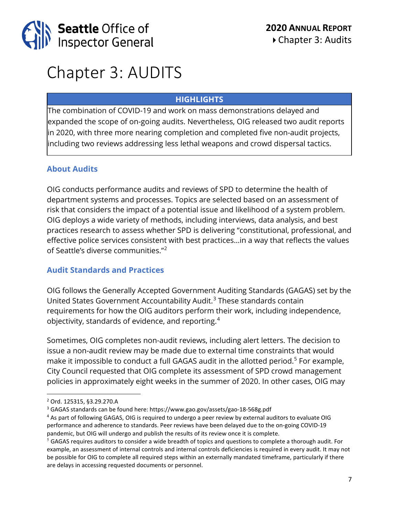

### Chapter 3: AUDITS

### **HIGHLIGHTS**

The combination of COVID-19 and work on mass demonstrations delayed and expanded the scope of on-going audits. Nevertheless, OIG released two audit reports in 2020, with three more nearing completion and completed five non-audit projects, including two reviews addressing less lethal weapons and crowd dispersal tactics.

### **About Audits**

OIG conducts performance audits and reviews of SPD to determine the health of department systems and processes. Topics are selected based on an assessment of risk that considers the impact of a potential issue and likelihood of a system problem. OIG deploys a wide variety of methods, including interviews, data analysis, and best practices research to assess whether SPD is delivering "constitutional, professional, and effective police services consistent with best practices…in a way that reflects the values of Seattle's diverse communities."[2](#page-6-0)

### **Audit Standards and Practices**

OIG follows the Generally Accepted Government Auditing Standards (GAGAS) set by the United States Government Accountability Audit.<sup>[3](#page-6-1)</sup> These standards contain requirements for how the OIG auditors perform their work, including independence, objectivity, standards of evidence, and reporting.[4](#page-6-2)

Sometimes, OIG completes non-audit reviews, including alert letters. The decision to issue a non-audit review may be made due to external time constraints that would make it impossible to conduct a full GAGAS audit in the allotted period.<sup>[5](#page-6-3)</sup> For example, City Council requested that OIG complete its assessment of SPD crowd management policies in approximately eight weeks in the summer of 2020. In other cases, OIG may

<span id="page-6-0"></span><sup>2</sup> Ord. 125315, §3.29.270.A

<span id="page-6-1"></span><sup>3</sup> GAGAS standards can be found here:<https://www.gao.gov/assets/gao-18-568g.pdf>

<span id="page-6-2"></span><sup>4</sup> As part of following GAGAS, OIG is required to undergo a peer review by external auditors to evaluate OIG performance and adherence to standards. Peer reviews have been delayed due to the on-going COVID-19 pandemic, but OIG will undergo and publish the results of its review once it is complete.

<span id="page-6-3"></span> $5$  GAGAS requires auditors to consider a wide breadth of topics and questions to complete a thorough audit. For example, an assessment of internal controls and internal controls deficiencies is required in every audit. It may not be possible for OIG to complete all required steps within an externally mandated timeframe, particularly if there are delays in accessing requested documents or personnel.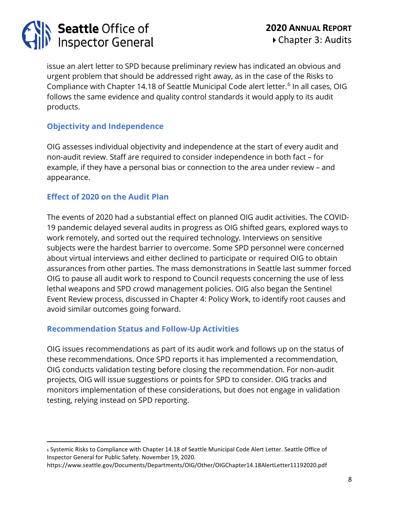

issue an alert letter to SPD because preliminary review has indicated an obvious and urgent problem that should be addressed right away, as in the case of the Risks to Compliance with Chapter 14.18 of Seattle Municipal Code alert letter.<sup>[6](#page-7-0)</sup> In all cases, OIG follows the same evidence and quality control standards it would apply to its audit products.

### **Objectivity and Independence**

OIG assesses individual objectivity and independence at the start of every audit and non-audit review. Staff are required to consider independence in both fact – for example, if they have a personal bias or connection to the area under review – and appearance.

### **Effect of 2020 on the Audit Plan**

The events of 2020 had a substantial effect on planned OIG audit activities. The COVID-19 pandemic delayed several audits in progress as OIG shifted gears, explored ways to work remotely, and sorted out the required technology. Interviews on sensitive subjects were the hardest barrier to overcome. Some SPD personnel were concerned about virtual interviews and either declined to participate or required OIG to obtain assurances from other parties. The mass demonstrations in Seattle last summer forced OIG to pause all audit work to respond to Council requests concerning the use of less lethal weapons and SPD crowd management policies. OIG also began the Sentinel Event Review process, discussed in Chapter 4: Policy Work, to identify root causes and avoid similar outcomes going forward.

### **Recommendation Status and Follow-Up Activities**

OIG issues recommendations as part of its audit work and follows up on the status of these recommendations. Once SPD reports it has implemented a recommendation, OIG conducts validation testing before closing the recommendation. For non-audit projects, OIG will issue suggestions or points for SPD to consider. OIG tracks and monitors implementation of these considerations, but does not engage in validation testing, relying instead on SPD reporting.

<span id="page-7-0"></span><sup>6</sup> Systemic Risks to Compliance with Chapter 14.18 of Seattle Municipal Code Alert Letter. Seattle Office of Inspector General for Public Safety. November 19, 2020.

https://www.seattle.gov/Documents/Departments/OIG/Other/OIGChapter14.18AlertLetter11192020.pdf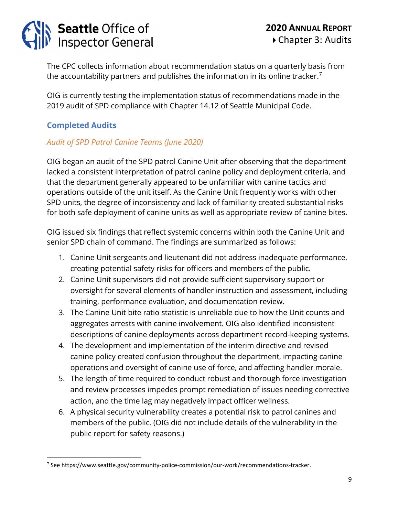## **Seattle Office of<br>Inspector General**

The CPC collects information about recommendation status on a quarterly basis from the accountability partners and publishes the information in its online tracker.<sup>[7](#page-8-0)</sup>

OIG is currently testing the implementation status of recommendations made in the 2019 audit of SPD compliance with Chapter 14.12 of Seattle Municipal Code.

### **Completed Audits**

### *Audit of SPD Patrol Canine Teams (June 2020)*

OIG began an audit of the SPD patrol Canine Unit after observing that the department lacked a consistent interpretation of patrol canine policy and deployment criteria, and that the department generally appeared to be unfamiliar with canine tactics and operations outside of the unit itself. As the Canine Unit frequently works with other SPD units, the degree of inconsistency and lack of familiarity created substantial risks for both safe deployment of canine units as well as appropriate review of canine bites.

OIG issued six findings that reflect systemic concerns within both the Canine Unit and senior SPD chain of command. The findings are summarized as follows:

- 1. Canine Unit sergeants and lieutenant did not address inadequate performance, creating potential safety risks for officers and members of the public.
- 2. Canine Unit supervisors did not provide sufficient supervisory support or oversight for several elements of handler instruction and assessment, including training, performance evaluation, and documentation review.
- 3. The Canine Unit bite ratio statistic is unreliable due to how the Unit counts and aggregates arrests with canine involvement. OIG also identified inconsistent descriptions of canine deployments across department record-keeping systems.
- 4. The development and implementation of the interim directive and revised canine policy created confusion throughout the department, impacting canine operations and oversight of canine use of force, and affecting handler morale.
- 5. The length of time required to conduct robust and thorough force investigation and review processes impedes prompt remediation of issues needing corrective action, and the time lag may negatively impact officer wellness.
- 6. A physical security vulnerability creates a potential risk to patrol canines and members of the public. (OIG did not include details of the vulnerability in the public report for safety reasons.)

<span id="page-8-0"></span><sup>7</sup> See https://www.seattle.gov/community-police-commission/our-work/recommendations-tracker.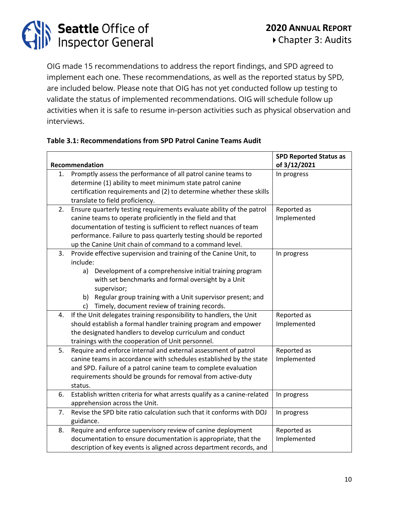

OIG made 15 recommendations to address the report findings, and SPD agreed to implement each one. These recommendations, as well as the reported status by SPD, are included below. Please note that OIG has not yet conducted follow up testing to validate the status of implemented recommendations. OIG will schedule follow up activities when it is safe to resume in-person activities such as physical observation and interviews.

#### **Table 3.1: Recommendations from SPD Patrol Canine Teams Audit**

|    |                                                                         | <b>SPD Reported Status as</b> |
|----|-------------------------------------------------------------------------|-------------------------------|
|    | Recommendation                                                          | of 3/12/2021                  |
| 1. | Promptly assess the performance of all patrol canine teams to           | In progress                   |
|    | determine (1) ability to meet minimum state patrol canine               |                               |
|    | certification requirements and (2) to determine whether these skills    |                               |
|    | translate to field proficiency.                                         |                               |
| 2. | Ensure quarterly testing requirements evaluate ability of the patrol    | Reported as                   |
|    | canine teams to operate proficiently in the field and that              | Implemented                   |
|    | documentation of testing is sufficient to reflect nuances of team       |                               |
|    | performance. Failure to pass quarterly testing should be reported       |                               |
|    | up the Canine Unit chain of command to a command level.                 |                               |
| 3. | Provide effective supervision and training of the Canine Unit, to       | In progress                   |
|    | include:                                                                |                               |
|    | Development of a comprehensive initial training program<br>a)           |                               |
|    | with set benchmarks and formal oversight by a Unit                      |                               |
|    | supervisor;                                                             |                               |
|    | b) Regular group training with a Unit supervisor present; and           |                               |
|    | Timely, document review of training records.<br>c)                      |                               |
| 4. | If the Unit delegates training responsibility to handlers, the Unit     | Reported as                   |
|    | should establish a formal handler training program and empower          | Implemented                   |
|    | the designated handlers to develop curriculum and conduct               |                               |
|    | trainings with the cooperation of Unit personnel.                       |                               |
| 5. | Require and enforce internal and external assessment of patrol          | Reported as                   |
|    | canine teams in accordance with schedules established by the state      | Implemented                   |
|    | and SPD. Failure of a patrol canine team to complete evaluation         |                               |
|    | requirements should be grounds for removal from active-duty             |                               |
|    | status.                                                                 |                               |
| 6. | Establish written criteria for what arrests qualify as a canine-related | In progress                   |
|    | apprehension across the Unit.                                           |                               |
| 7. | Revise the SPD bite ratio calculation such that it conforms with DOJ    | In progress                   |
|    | guidance.                                                               |                               |
| 8. | Require and enforce supervisory review of canine deployment             | Reported as                   |
|    | documentation to ensure documentation is appropriate, that the          | Implemented                   |
|    | description of key events is aligned across department records, and     |                               |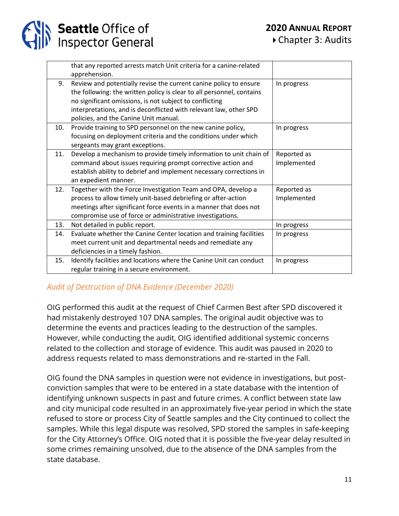|     | that any reported arrests match Unit criteria for a canine-related<br>apprehension.                                                                                                                                                                                                                                 |                            |
|-----|---------------------------------------------------------------------------------------------------------------------------------------------------------------------------------------------------------------------------------------------------------------------------------------------------------------------|----------------------------|
| 9.  | Review and potentially revise the current canine policy to ensure<br>the following: the written policy is clear to all personnel, contains<br>no significant omissions, is not subject to conflicting<br>interpretations, and is deconflicted with relevant law, other SPD<br>policies, and the Canine Unit manual. | In progress                |
| 10. | Provide training to SPD personnel on the new canine policy,<br>focusing on deployment criteria and the conditions under which<br>sergeants may grant exceptions.                                                                                                                                                    | In progress                |
| 11. | Develop a mechanism to provide timely information to unit chain of<br>command about issues requiring prompt corrective action and<br>establish ability to debrief and implement necessary corrections in<br>an expedient manner.                                                                                    | Reported as<br>Implemented |
| 12. | Together with the Force Investigation Team and OPA, develop a<br>process to allow timely unit-based debriefing or after-action<br>meetings after significant force events in a manner that does not<br>compromise use of force or administrative investigations.                                                    | Reported as<br>Implemented |
| 13. | Not detailed in public report.                                                                                                                                                                                                                                                                                      | In progress                |
| 14. | Evaluate whether the Canine Center location and training facilities<br>meet current unit and departmental needs and remediate any<br>deficiencies in a timely fashion.                                                                                                                                              | In progress                |
| 15. | Identify facilities and locations where the Canine Unit can conduct<br>regular training in a secure environment.                                                                                                                                                                                                    | In progress                |

### *Audit of Destruction of DNA Evidence (December 2020)*

OIG performed this audit at the request of Chief Carmen Best after SPD discovered it had mistakenly destroyed 107 DNA samples. The original audit objective was to determine the events and practices leading to the destruction of the samples. However, while conducting the audit, OIG identified additional systemic concerns related to the collection and storage of evidence. This audit was paused in 2020 to address requests related to mass demonstrations and re-started in the Fall.

OIG found the DNA samples in question were not evidence in investigations, but postconviction samples that were to be entered in a state database with the intention of identifying unknown suspects in past and future crimes. A conflict between state law and city municipal code resulted in an approximately five-year period in which the state refused to store or process City of Seattle samples and the City continued to collect the samples. While this legal dispute was resolved, SPD stored the samples in safe-keeping for the City Attorney's Office. OIG noted that it is possible the five-year delay resulted in some crimes remaining unsolved, due to the absence of the DNA samples from the state database.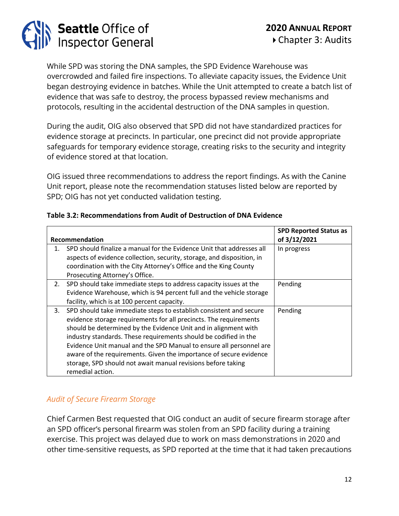# **Seattle Office of<br>Inspector General**

While SPD was storing the DNA samples, the SPD Evidence Warehouse was overcrowded and failed fire inspections. To alleviate capacity issues, the Evidence Unit began destroying evidence in batches. While the Unit attempted to create a batch list of evidence that was safe to destroy, the process bypassed review mechanisms and protocols, resulting in the accidental destruction of the DNA samples in question.

During the audit, OIG also observed that SPD did not have standardized practices for evidence storage at precincts. In particular, one precinct did not provide appropriate safeguards for temporary evidence storage, creating risks to the security and integrity of evidence stored at that location.

OIG issued three recommendations to address the report findings. As with the Canine Unit report, please note the recommendation statuses listed below are reported by SPD; OIG has not yet conducted validation testing.

|    | Recommendation                                                                                                                                                                                                                                                                                                                                                                                                                                                                                                  | <b>SPD Reported Status as</b><br>of 3/12/2021 |
|----|-----------------------------------------------------------------------------------------------------------------------------------------------------------------------------------------------------------------------------------------------------------------------------------------------------------------------------------------------------------------------------------------------------------------------------------------------------------------------------------------------------------------|-----------------------------------------------|
| 1. | SPD should finalize a manual for the Evidence Unit that addresses all<br>aspects of evidence collection, security, storage, and disposition, in<br>coordination with the City Attorney's Office and the King County<br>Prosecuting Attorney's Office.                                                                                                                                                                                                                                                           | In progress                                   |
| 2. | SPD should take immediate steps to address capacity issues at the<br>Evidence Warehouse, which is 94 percent full and the vehicle storage<br>facility, which is at 100 percent capacity.                                                                                                                                                                                                                                                                                                                        | Pending                                       |
| 3. | SPD should take immediate steps to establish consistent and secure<br>evidence storage requirements for all precincts. The requirements<br>should be determined by the Evidence Unit and in alignment with<br>industry standards. These requirements should be codified in the<br>Evidence Unit manual and the SPD Manual to ensure all personnel are<br>aware of the requirements. Given the importance of secure evidence<br>storage, SPD should not await manual revisions before taking<br>remedial action. | Pending                                       |

### **Table 3.2: Recommendations from Audit of Destruction of DNA Evidence**

### *Audit of Secure Firearm Storage*

Chief Carmen Best requested that OIG conduct an audit of secure firearm storage after an SPD officer's personal firearm was stolen from an SPD facility during a training exercise. This project was delayed due to work on mass demonstrations in 2020 and other time-sensitive requests, as SPD reported at the time that it had taken precautions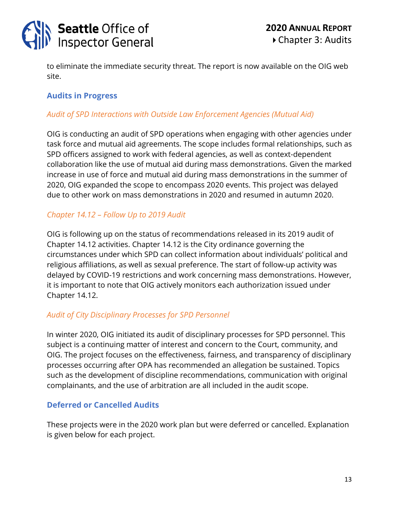

to eliminate the immediate security threat. The report is now available on the OIG web site.

### **Audits in Progress**

### *Audit of SPD Interactions with Outside Law Enforcement Agencies (Mutual Aid)*

OIG is conducting an audit of SPD operations when engaging with other agencies under task force and mutual aid agreements. The scope includes formal relationships, such as SPD officers assigned to work with federal agencies, as well as context-dependent collaboration like the use of mutual aid during mass demonstrations. Given the marked increase in use of force and mutual aid during mass demonstrations in the summer of 2020, OIG expanded the scope to encompass 2020 events. This project was delayed due to other work on mass demonstrations in 2020 and resumed in autumn 2020.

### *Chapter 14.12 – Follow Up to 2019 Audit*

OIG is following up on the status of recommendations released in its 2019 audit of Chapter 14.12 activities. Chapter 14.12 is the City ordinance governing the circumstances under which SPD can collect information about individuals' political and religious affiliations, as well as sexual preference. The start of follow-up activity was delayed by COVID-19 restrictions and work concerning mass demonstrations. However, it is important to note that OIG actively monitors each authorization issued under Chapter 14.12.

### *Audit of City Disciplinary Processes for SPD Personnel*

In winter 2020, OIG initiated its audit of disciplinary processes for SPD personnel. This subject is a continuing matter of interest and concern to the Court, community, and OIG. The project focuses on the effectiveness, fairness, and transparency of disciplinary processes occurring after OPA has recommended an allegation be sustained. Topics such as the development of discipline recommendations, communication with original complainants, and the use of arbitration are all included in the audit scope.

### **Deferred or Cancelled Audits**

These projects were in the 2020 work plan but were deferred or cancelled. Explanation is given below for each project.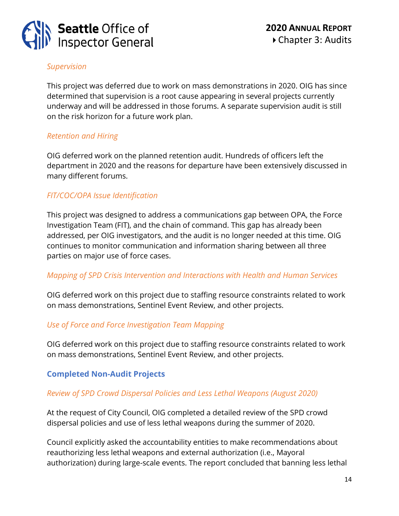

### *Supervision*

This project was deferred due to work on mass demonstrations in 2020. OIG has since determined that supervision is a root cause appearing in several projects currently underway and will be addressed in those forums. A separate supervision audit is still on the risk horizon for a future work plan.

### *Retention and Hiring*

OIG deferred work on the planned retention audit. Hundreds of officers left the department in 2020 and the reasons for departure have been extensively discussed in many different forums.

### *FIT/COC/OPA Issue Identification*

This project was designed to address a communications gap between OPA, the Force Investigation Team (FIT), and the chain of command. This gap has already been addressed, per OIG investigators, and the audit is no longer needed at this time. OIG continues to monitor communication and information sharing between all three parties on major use of force cases.

### *Mapping of SPD Crisis Intervention and Interactions with Health and Human Services*

OIG deferred work on this project due to staffing resource constraints related to work on mass demonstrations, Sentinel Event Review, and other projects.

### *Use of Force and Force Investigation Team Mapping*

OIG deferred work on this project due to staffing resource constraints related to work on mass demonstrations, Sentinel Event Review, and other projects.

### **Completed Non-Audit Projects**

### *Review of SPD Crowd Dispersal Policies and Less Lethal Weapons (August 2020)*

At the request of City Council, OIG completed a detailed review of the SPD crowd dispersal policies and use of less lethal weapons during the summer of 2020.

Council explicitly asked the accountability entities to make recommendations about reauthorizing less lethal weapons and external authorization (i.e., Mayoral authorization) during large-scale events. The report concluded that banning less lethal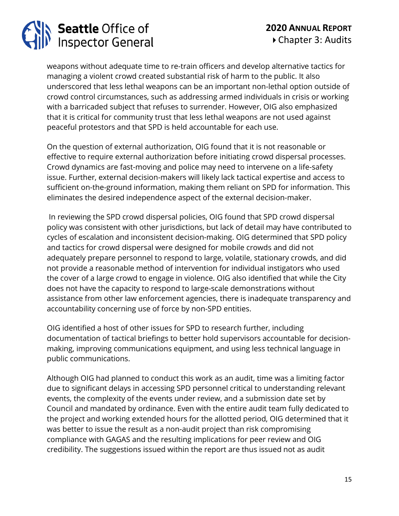# **Seattle Office of<br>Inspector General**

weapons without adequate time to re-train officers and develop alternative tactics for managing a violent crowd created substantial risk of harm to the public. It also underscored that less lethal weapons can be an important non-lethal option outside of crowd control circumstances, such as addressing armed individuals in crisis or working with a barricaded subject that refuses to surrender. However, OIG also emphasized that it is critical for community trust that less lethal weapons are not used against peaceful protestors and that SPD is held accountable for each use.

On the question of external authorization, OIG found that it is not reasonable or effective to require external authorization before initiating crowd dispersal processes. Crowd dynamics are fast-moving and police may need to intervene on a life-safety issue. Further, external decision-makers will likely lack tactical expertise and access to sufficient on-the-ground information, making them reliant on SPD for information. This eliminates the desired independence aspect of the external decision-maker.

In reviewing the SPD crowd dispersal policies, OIG found that SPD crowd dispersal policy was consistent with other jurisdictions, but lack of detail may have contributed to cycles of escalation and inconsistent decision-making. OIG determined that SPD policy and tactics for crowd dispersal were designed for mobile crowds and did not adequately prepare personnel to respond to large, volatile, stationary crowds, and did not provide a reasonable method of intervention for individual instigators who used the cover of a large crowd to engage in violence. OIG also identified that while the City does not have the capacity to respond to large-scale demonstrations without assistance from other law enforcement agencies, there is inadequate transparency and accountability concerning use of force by non-SPD entities.

OIG identified a host of other issues for SPD to research further, including documentation of tactical briefings to better hold supervisors accountable for decisionmaking, improving communications equipment, and using less technical language in public communications.

Although OIG had planned to conduct this work as an audit, time was a limiting factor due to significant delays in accessing SPD personnel critical to understanding relevant events, the complexity of the events under review, and a submission date set by Council and mandated by ordinance. Even with the entire audit team fully dedicated to the project and working extended hours for the allotted period, OIG determined that it was better to issue the result as a non-audit project than risk compromising compliance with GAGAS and the resulting implications for peer review and OIG credibility. The suggestions issued within the report are thus issued not as audit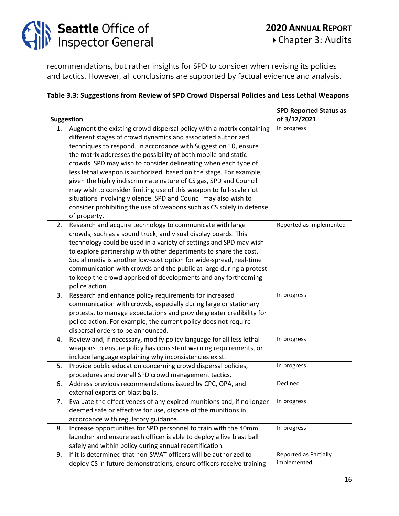

recommendations, but rather insights for SPD to consider when revising its policies and tactics. However, all conclusions are supported by factual evidence and analysis.

#### **Table 3.3: Suggestions from Review of SPD Crowd Dispersal Policies and Less Lethal Weapons**

|    |                                                                       | <b>SPD Reported Status as</b> |
|----|-----------------------------------------------------------------------|-------------------------------|
|    | <b>Suggestion</b>                                                     | of 3/12/2021                  |
| 1. | Augment the existing crowd dispersal policy with a matrix containing  | In progress                   |
|    | different stages of crowd dynamics and associated authorized          |                               |
|    | techniques to respond. In accordance with Suggestion 10, ensure       |                               |
|    | the matrix addresses the possibility of both mobile and static        |                               |
|    | crowds. SPD may wish to consider delineating when each type of        |                               |
|    | less lethal weapon is authorized, based on the stage. For example,    |                               |
|    | given the highly indiscriminate nature of CS gas, SPD and Council     |                               |
|    | may wish to consider limiting use of this weapon to full-scale riot   |                               |
|    | situations involving violence. SPD and Council may also wish to       |                               |
|    | consider prohibiting the use of weapons such as CS solely in defense  |                               |
|    | of property.                                                          |                               |
| 2. | Research and acquire technology to communicate with large             | Reported as Implemented       |
|    | crowds, such as a sound truck, and visual display boards. This        |                               |
|    | technology could be used in a variety of settings and SPD may wish    |                               |
|    | to explore partnership with other departments to share the cost.      |                               |
|    | Social media is another low-cost option for wide-spread, real-time    |                               |
|    | communication with crowds and the public at large during a protest    |                               |
|    | to keep the crowd apprised of developments and any forthcoming        |                               |
|    | police action.                                                        |                               |
| 3. | Research and enhance policy requirements for increased                | In progress                   |
|    | communication with crowds, especially during large or stationary      |                               |
|    | protests, to manage expectations and provide greater credibility for  |                               |
|    | police action. For example, the current policy does not require       |                               |
|    | dispersal orders to be announced.                                     |                               |
| 4. | Review and, if necessary, modify policy language for all less lethal  | In progress                   |
|    | weapons to ensure policy has consistent warning requirements, or      |                               |
|    | include language explaining why inconsistencies exist.                |                               |
| 5. | Provide public education concerning crowd dispersal policies,         | In progress                   |
|    | procedures and overall SPD crowd management tactics.                  |                               |
| 6. | Address previous recommendations issued by CPC, OPA, and              | Declined                      |
|    | external experts on blast balls.                                      |                               |
| 7. | Evaluate the effectiveness of any expired munitions and, if no longer | In progress                   |
|    | deemed safe or effective for use, dispose of the munitions in         |                               |
|    | accordance with regulatory guidance.                                  |                               |
| 8. | Increase opportunities for SPD personnel to train with the 40mm       | In progress                   |
|    | launcher and ensure each officer is able to deploy a live blast ball  |                               |
|    | safely and within policy during annual recertification.               |                               |
| 9. | If it is determined that non-SWAT officers will be authorized to      | Reported as Partially         |
|    | deploy CS in future demonstrations, ensure officers receive training  | implemented                   |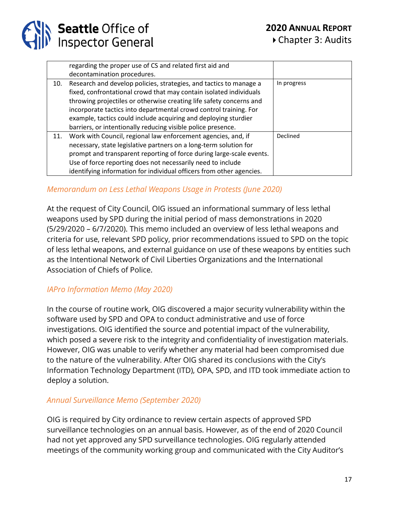

|     | regarding the proper use of CS and related first aid and             |             |
|-----|----------------------------------------------------------------------|-------------|
|     | decontamination procedures.                                          |             |
| 10. | Research and develop policies, strategies, and tactics to manage a   | In progress |
|     | fixed, confrontational crowd that may contain isolated individuals   |             |
|     | throwing projectiles or otherwise creating life safety concerns and  |             |
|     | incorporate tactics into departmental crowd control training. For    |             |
|     | example, tactics could include acquiring and deploying sturdier      |             |
|     | barriers, or intentionally reducing visible police presence.         |             |
| 11. | Work with Council, regional law enforcement agencies, and, if        | Declined    |
|     | necessary, state legislative partners on a long-term solution for    |             |
|     | prompt and transparent reporting of force during large-scale events. |             |
|     | Use of force reporting does not necessarily need to include          |             |
|     | identifying information for individual officers from other agencies. |             |

### *Memorandum on Less Lethal Weapons Usage in Protests (June 2020)*

At the request of City Council, OIG issued an informational summary of less lethal weapons used by SPD during the initial period of mass demonstrations in 2020 (5/29/2020 – 6/7/2020). This memo included an overview of less lethal weapons and criteria for use, relevant SPD policy, prior recommendations issued to SPD on the topic of less lethal weapons, and external guidance on use of these weapons by entities such as the Intentional Network of Civil Liberties Organizations and the International Association of Chiefs of Police.

### *IAPro Information Memo (May 2020)*

In the course of routine work, OIG discovered a major security vulnerability within the software used by SPD and OPA to conduct administrative and use of force investigations. OIG identified the source and potential impact of the vulnerability, which posed a severe risk to the integrity and confidentiality of investigation materials. However, OIG was unable to verify whether any material had been compromised due to the nature of the vulnerability. After OIG shared its conclusions with the City's Information Technology Department (ITD), OPA, SPD, and ITD took immediate action to deploy a solution.

### *Annual Surveillance Memo (September 2020)*

OIG is required by City ordinance to review certain aspects of approved SPD surveillance technologies on an annual basis. However, as of the end of 2020 Council had not yet approved any SPD surveillance technologies. OIG regularly attended meetings of the community working group and communicated with the City Auditor's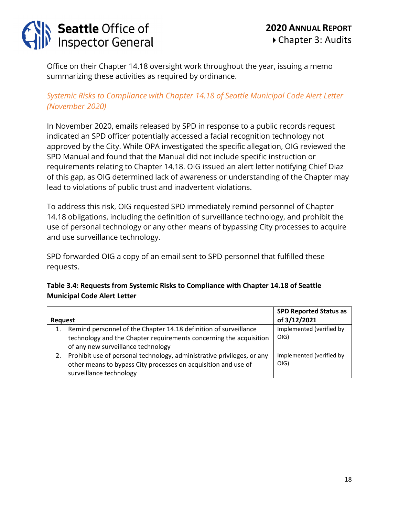

Office on their Chapter 14.18 oversight work throughout the year, issuing a memo summarizing these activities as required by ordinance.

### *[Systemic Risks to Compliance with Chapter 14.18 of Seattle Municipal Code Alert Letter](https://www.seattle.gov/Documents/Departments/OIG/Other/OIGChapter14.18AlertLetter11192020.pdf) (November 2020)*

In November 2020, emails released by SPD in response to a public records request indicated an SPD officer potentially accessed a facial recognition technology not approved by the City. While OPA investigated the specific allegation, OIG reviewed the SPD Manual and found that the Manual did not include specific instruction or requirements relating to Chapter 14.18. OIG issued an alert letter notifying Chief Diaz of this gap, as OIG determined lack of awareness or understanding of the Chapter may lead to violations of public trust and inadvertent violations.

To address this risk, OIG requested SPD immediately remind personnel of Chapter 14.18 obligations, including the definition of surveillance technology, and prohibit the use of personal technology or any other means of bypassing City processes to acquire and use surveillance technology.

SPD forwarded OIG a copy of an email sent to SPD personnel that fulfilled these requests.

### **Table 3.4: Requests from [Systemic Risks to Compliance with Chapter 14.18 of Seattle](https://www.seattle.gov/Documents/Departments/OIG/Other/OIGChapter14.18AlertLetter11192020.pdf)  [Municipal Code Alert Letter](https://www.seattle.gov/Documents/Departments/OIG/Other/OIGChapter14.18AlertLetter11192020.pdf)**

|         |                                                                        | <b>SPD Reported Status as</b> |
|---------|------------------------------------------------------------------------|-------------------------------|
| Reguest |                                                                        | of 3/12/2021                  |
|         | Remind personnel of the Chapter 14.18 definition of surveillance       | Implemented (verified by      |
|         | technology and the Chapter requirements concerning the acquisition     | O(G)                          |
|         | of any new surveillance technology                                     |                               |
|         | Prohibit use of personal technology, administrative privileges, or any | Implemented (verified by      |
|         | other means to bypass City processes on acquisition and use of         | O(G)                          |
|         | surveillance technology                                                |                               |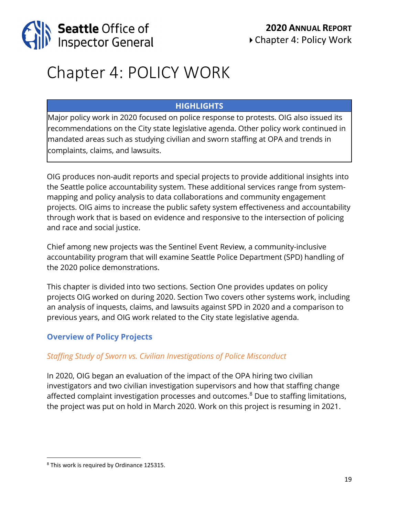

### Chapter 4: POLICY WORK

### **HIGHLIGHTS**

Major policy work in 2020 focused on police response to protests. OIG also issued its recommendations on the City state legislative agenda. Other policy work continued in mandated areas such as studying civilian and sworn staffing at OPA and trends in complaints, claims, and lawsuits.

OIG produces non-audit reports and special projects to provide additional insights into the Seattle police accountability system. These additional services range from systemmapping and policy analysis to data collaborations and community engagement projects. OIG aims to increase the public safety system effectiveness and accountability through work that is based on evidence and responsive to the intersection of policing and race and social justice.

Chief among new projects was the Sentinel Event Review, a community-inclusive accountability program that will examine Seattle Police Department (SPD) handling of the 2020 police demonstrations.

This chapter is divided into two sections. Section One provides updates on policy projects OIG worked on during 2020. Section Two covers other systems work, including an analysis of inquests, claims, and lawsuits against SPD in 2020 and a comparison to previous years, and OIG work related to the City state legislative agenda.

### **Overview of Policy Projects**

### *Staffing Study of Sworn vs. Civilian Investigations of Police Misconduct*

In 2020, OIG began an evaluation of the impact of the OPA hiring two civilian investigators and two civilian investigation supervisors and how that staffing change affected complaint investigation processes and outcomes.<sup>[8](#page-18-0)</sup> Due to staffing limitations, the project was put on hold in March 2020. Work on this project is resuming in 2021.

<span id="page-18-0"></span><sup>8</sup> This work is required by Ordinance 125315.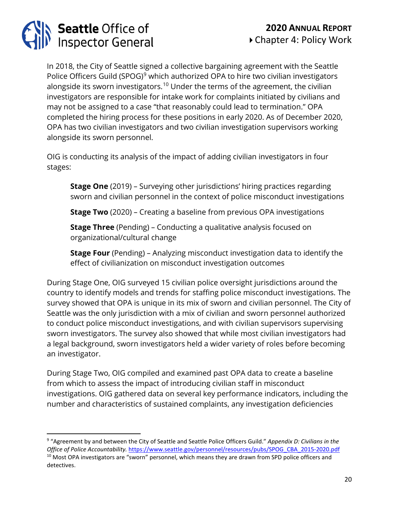# **Seattle Office of<br>Inspector General**

In 2018, the City of Seattle signed a collective bargaining agreement with the Seattle Police Officers Guild (SPOG)<sup>[9](#page-19-0)</sup> which authorized OPA to hire two civilian investigators alongside its sworn investigators.<sup>[10](#page-19-1)</sup> Under the terms of the agreement, the civilian investigators are responsible for intake work for complaints initiated by civilians and may not be assigned to a case "that reasonably could lead to termination." OPA completed the hiring process for these positions in early 2020. As of December 2020, OPA has two civilian investigators and two civilian investigation supervisors working alongside its sworn personnel.

OIG is conducting its analysis of the impact of adding civilian investigators in four stages:

**Stage One** (2019) – Surveying other jurisdictions' hiring practices regarding sworn and civilian personnel in the context of police misconduct investigations

**Stage Two** (2020) – Creating a baseline from previous OPA investigations

**Stage Three** (Pending) – Conducting a qualitative analysis focused on organizational/cultural change

**Stage Four** (Pending) – Analyzing misconduct investigation data to identify the effect of civilianization on misconduct investigation outcomes

During Stage One, OIG surveyed 15 civilian police oversight jurisdictions around the country to identify models and trends for staffing police misconduct investigations. The survey showed that OPA is unique in its mix of sworn and civilian personnel. The City of Seattle was the only jurisdiction with a mix of civilian and sworn personnel authorized to conduct police misconduct investigations, and with civilian supervisors supervising sworn investigators. The survey also showed that while most civilian investigators had a legal background, sworn investigators held a wider variety of roles before becoming an investigator.

During Stage Two, OIG compiled and examined past OPA data to create a baseline from which to assess the impact of introducing civilian staff in misconduct investigations. OIG gathered data on several key performance indicators, including the number and characteristics of sustained complaints, any investigation deficiencies

<span id="page-19-1"></span><span id="page-19-0"></span><sup>9</sup> "Agreement by and between the City of Seattle and Seattle Police Officers Guild." *Appendix D: Civilians in the Office of Police Accountability.* [https://www.seattle.gov/personnel/resources/pubs/SPOG\\_CBA\\_2015-2020.pdf](https://www.seattle.gov/personnel/resources/pubs/SPOG_CBA_2015-2020.pdf) <sup>10</sup> Most OPA investigators are "sworn" personnel, which means they are drawn from SPD police officers and detectives.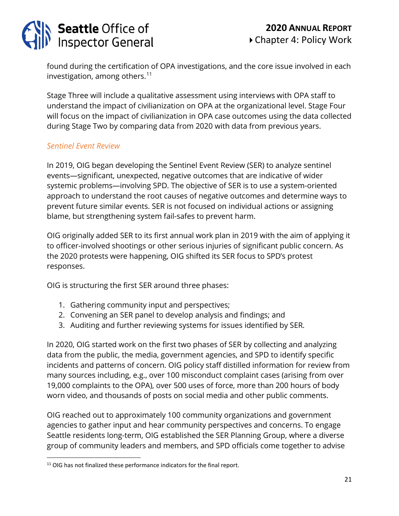# **Seattle Office of<br>Inspector General**

found during the certification of OPA investigations, and the core issue involved in each investigation, among others. $11$ 

Stage Three will include a qualitative assessment using interviews with OPA staff to understand the impact of civilianization on OPA at the organizational level. Stage Four will focus on the impact of civilianization in OPA case outcomes using the data collected during Stage Two by comparing data from 2020 with data from previous years.

### *Sentinel Event Review*

In 2019, OIG began developing the Sentinel Event Review (SER) to analyze sentinel events—significant, unexpected, negative outcomes that are indicative of wider systemic problems—involving SPD. The objective of SER is to use a system-oriented approach to understand the root causes of negative outcomes and determine ways to prevent future similar events. SER is not focused on individual actions or assigning blame, but strengthening system fail-safes to prevent harm.

OIG originally added SER to its first annual work plan in 2019 with the aim of applying it to officer-involved shootings or other serious injuries of significant public concern. As the 2020 protests were happening, OIG shifted its SER focus to SPD's protest responses.

OIG is structuring the first SER around three phases:

- 1. Gathering community input and perspectives;
- 2. Convening an SER panel to develop analysis and findings; and
- 3. Auditing and further reviewing systems for issues identified by SER.

In 2020, OIG started work on the first two phases of SER by collecting and analyzing data from the public, the media, government agencies, and SPD to identify specific incidents and patterns of concern. OIG policy staff distilled information for review from many sources including, e.g., over 100 misconduct complaint cases (arising from over 19,000 complaints to the OPA), over 500 uses of force, more than 200 hours of body worn video, and thousands of posts on social media and other public comments.

OIG reached out to approximately 100 community organizations and government agencies to gather input and hear community perspectives and concerns. To engage Seattle residents long-term, OIG established the SER Planning Group, where a diverse group of community leaders and members, and SPD officials come together to advise

<span id="page-20-0"></span><sup>&</sup>lt;sup>11</sup> OIG has not finalized these performance indicators for the final report.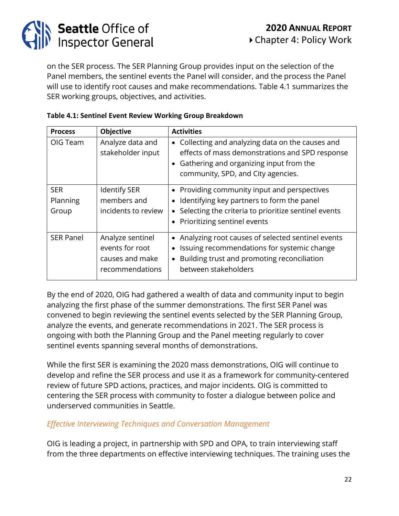

on the SER process. The SER Planning Group provides input on the selection of the Panel members, the sentinel events the Panel will consider, and the process the Panel will use to identify root causes and make recommendations. Table 4.1 summarizes the SER working groups, objectives, and activities.

| <b>Process</b>                  | <b>Objective</b>                                                          | <b>Activities</b>                                                                                                                                                                                 |
|---------------------------------|---------------------------------------------------------------------------|---------------------------------------------------------------------------------------------------------------------------------------------------------------------------------------------------|
| OIG Team                        | Analyze data and<br>stakeholder input                                     | • Collecting and analyzing data on the causes and<br>effects of mass demonstrations and SPD response<br>• Gathering and organizing input from the<br>community, SPD, and City agencies.           |
| <b>SER</b><br>Planning<br>Group | <b>Identify SER</b><br>members and<br>incidents to review                 | • Providing community input and perspectives<br>Identifying key partners to form the panel<br>Selecting the criteria to prioritize sentinel events<br>• Prioritizing sentinel events              |
| <b>SER Panel</b>                | Analyze sentinel<br>events for root<br>causes and make<br>recommendations | Analyzing root causes of selected sentinel events<br>$\bullet$<br>Issuing recommendations for systemic change<br>Building trust and promoting reconciliation<br>$\bullet$<br>between stakeholders |

### **Table 4.1: Sentinel Event Review Working Group Breakdown**

By the end of 2020, OIG had gathered a wealth of data and community input to begin analyzing the first phase of the summer demonstrations. The first SER Panel was convened to begin reviewing the sentinel events selected by the SER Planning Group, analyze the events, and generate recommendations in 2021. The SER process is ongoing with both the Planning Group and the Panel meeting regularly to cover sentinel events spanning several months of demonstrations.

While the first SER is examining the 2020 mass demonstrations, OIG will continue to develop and refine the SER process and use it as a framework for community-centered review of future SPD actions, practices, and major incidents. OIG is committed to centering the SER process with community to foster a dialogue between police and underserved communities in Seattle.

### *Effective Interviewing Techniques and Conversation Management*

OIG is leading a project, in partnership with SPD and OPA, to train interviewing staff from the three departments on effective interviewing techniques. The training uses the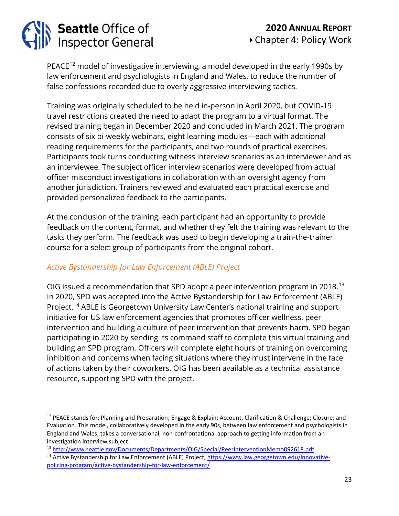# Seattle Office of<br>Inspector General

PEACE<sup>[12](#page-22-0)</sup> model of investigative interviewing, a model developed in the early 1990s by law enforcement and psychologists in England and Wales, to reduce the number of false confessions recorded due to overly aggressive interviewing tactics.

Training was originally scheduled to be held in-person in April 2020, but COVID-19 travel restrictions created the need to adapt the program to a virtual format. The revised training began in December 2020 and concluded in March 2021. The program consists of six bi-weekly webinars, eight learning modules—each with additional reading requirements for the participants, and two rounds of practical exercises. Participants took turns conducting witness interview scenarios as an interviewer and as an interviewee. The subject officer interview scenarios were developed from actual officer misconduct investigations in collaboration with an oversight agency from another jurisdiction. Trainers reviewed and evaluated each practical exercise and provided personalized feedback to the participants.

At the conclusion of the training, each participant had an opportunity to provide feedback on the content, format, and whether they felt the training was relevant to the tasks they perform. The feedback was used to begin developing a train-the-trainer course for a select group of participants from the original cohort.

### *Active Bystandership for Law Enforcement (ABLE) Project*

OIG issued a recommendation that SPD adopt a peer intervention program in 2018.<sup>[13](#page-22-1)</sup> In 2020, SPD was accepted into the Active Bystandership for Law Enforcement (ABLE) Project.<sup>[14](#page-22-2)</sup> ABLE is Georgetown University Law Center's national training and support initiative for US law enforcement agencies that promotes officer wellness, peer intervention and building a culture of peer intervention that prevents harm. SPD began participating in 2020 by sending its command staff to complete this virtual training and building an SPD program. Officers will complete eight hours of training on overcoming inhibition and concerns when facing situations where they must intervene in the face of actions taken by their coworkers. OIG has been available as a technical assistance resource, supporting SPD with the project.

<span id="page-22-0"></span> $12$  PEACE stands for: Planning and Preparation; Engage & Explain; Account, Clarification & Challenge; Closure; and Evaluation. This model, collaboratively developed in the early 90s, between law enforcement and psychologists in England and Wales, takes a conversational, non-confrontational approach to getting information from an investigation interview subject.

<span id="page-22-2"></span><span id="page-22-1"></span><sup>13</sup> <http://www.seattle.gov/Documents/Departments/OIG/Special/PeerInterventionMemo092618.pdf> <sup>14</sup> Active Bystandership for Law Enforcement (ABLE) Project, [https://www.law.georgetown.edu/innovative](https://www.law.georgetown.edu/innovative-policing-program/active-bystandership-for-law-enforcement/)[policing-program/active-bystandership-for-law-enforcement/](https://www.law.georgetown.edu/innovative-policing-program/active-bystandership-for-law-enforcement/)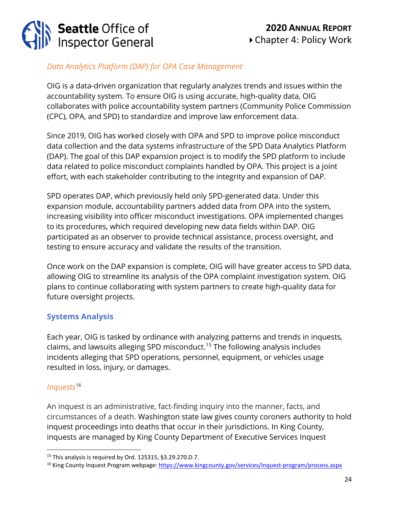# **Seattle Office of<br>Inspector General**

### *Data Analytics Platform (DAP) for OPA Case Management*

OIG is a data-driven organization that regularly analyzes trends and issues within the accountability system. To ensure OIG is using accurate, high-quality data, OIG collaborates with police accountability system partners (Community Police Commission (CPC), OPA, and SPD) to standardize and improve law enforcement data.

Since 2019, OIG has worked closely with OPA and SPD to improve police misconduct data collection and the data systems infrastructure of the SPD Data Analytics Platform (DAP). The goal of this DAP expansion project is to modify the SPD platform to include data related to police misconduct complaints handled by OPA. This project is a joint effort, with each stakeholder contributing to the integrity and expansion of DAP.

SPD operates DAP, which previously held only SPD-generated data. Under this expansion module, accountability partners added data from OPA into the system, increasing visibility into officer misconduct investigations. OPA implemented changes to its procedures, which required developing new data fields within DAP. OIG participated as an observer to provide technical assistance, process oversight, and testing to ensure accuracy and validate the results of the transition.

Once work on the DAP expansion is complete, OIG will have greater access to SPD data, allowing OIG to streamline its analysis of the OPA complaint investigation system. OIG plans to continue collaborating with system partners to create high-quality data for future oversight projects.

### **Systems Analysis**

Each year, OIG is tasked by ordinance with analyzing patterns and trends in inquests, claims, and lawsuits alleging SPD misconduct.[15](#page-23-0) The following analysis includes incidents alleging that SPD operations, personnel, equipment, or vehicles usage resulted in loss, injury, or damages.

### *Inquests*[16](#page-23-1)

An inquest is an administrative, fact-finding inquiry into the manner, facts, and circumstances of a death. Washington state law gives county coroners authority to hold inquest proceedings into deaths that occur in their jurisdictions. In King County, inquests are managed by King County Department of Executive Services Inquest

<span id="page-23-0"></span><sup>15</sup> This analysis is required by Ord. 125315, §3.29.270.D.7.

<span id="page-23-1"></span><sup>16</sup> King County Inquest Program webpage:<https://www.kingcounty.gov/services/inquest-program/process.aspx>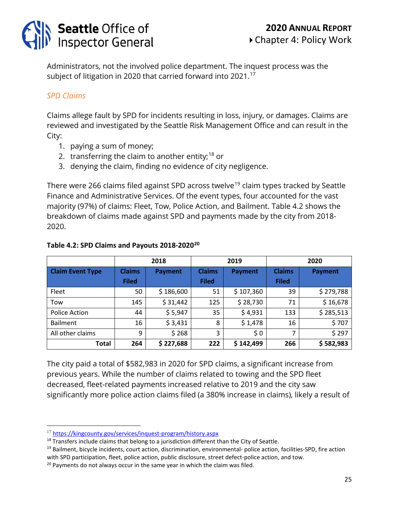

Administrators, not the involved police department. The inquest process was the subject of litigation in 2020 that carried forward into 2021. $^{\rm 17}$  $^{\rm 17}$  $^{\rm 17}$ 

### *SPD Claims*

Claims allege fault by SPD for incidents resulting in loss, injury, or damages. Claims are reviewed and investigated by the Seattle Risk Management Office and can result in the City:

- 1. paying a sum of money;
- 2. transferring the claim to another entity;<sup>[18](#page-24-1)</sup> or
- 3. denying the claim, finding no evidence of city negligence.

There were 266 claims filed against SPD across twelve<sup>[19](#page-24-2)</sup> claim types tracked by Seattle Finance and Administrative Services. Of the event types, four accounted for the vast majority (97%) of claims: Fleet, Tow, Police Action, and Bailment. Table 4.2 shows the breakdown of claims made against SPD and payments made by the city from 2018- 2020.

|                         |                               | 2018           | 2019                          |                | 2020                          |                |
|-------------------------|-------------------------------|----------------|-------------------------------|----------------|-------------------------------|----------------|
| <b>Claim Event Type</b> | <b>Claims</b><br><b>Filed</b> | <b>Payment</b> | <b>Claims</b><br><b>Filed</b> | <b>Payment</b> | <b>Claims</b><br><b>Filed</b> | <b>Payment</b> |
| Fleet                   | 50                            | \$186,600      | 51                            | \$107,360      | 39                            | \$279,788      |
| Tow                     | 145                           | \$31,442       | 125                           | \$28,730       | 71                            | \$16,678       |
| Police Action           | 44                            | \$5,947        | 35                            | \$4,931        | 133                           | \$285,513      |
| <b>Bailment</b>         | 16                            | \$3,431        | 8                             | \$1,478        | 16                            | \$707          |
| All other claims        | 9                             | \$268          | 3                             | \$0            | $\overline{7}$                | \$297          |
| Total                   | 264                           | \$227,688      | 222                           | \$142,499      | 266                           | \$582,983      |

#### **Table 4.2: SPD Claims and Payouts 2018-2020[20](#page-24-3)**

The city paid a total of \$582,983 in 2020 for SPD claims, a significant increase from previous years. While the number of claims related to towing and the SPD fleet decreased, fleet-related payments increased relative to 2019 and the city saw significantly more police action claims filed (a 380% increase in claims), likely a result of

<span id="page-24-0"></span><sup>17</sup> <https://kingcounty.gov/services/inquest-program/history.aspx>

<span id="page-24-1"></span> $18$  Transfers include claims that belong to a jurisdiction different than the City of Seattle.

<span id="page-24-2"></span> $19$  Bailment, bicycle incidents, court action, discrimination, environmental- police action, facilities-SPD, fire action with SPD participation, fleet, police action, public disclosure, street defect-police action, and tow.

<span id="page-24-3"></span> $20$  Payments do not always occur in the same year in which the claim was filed.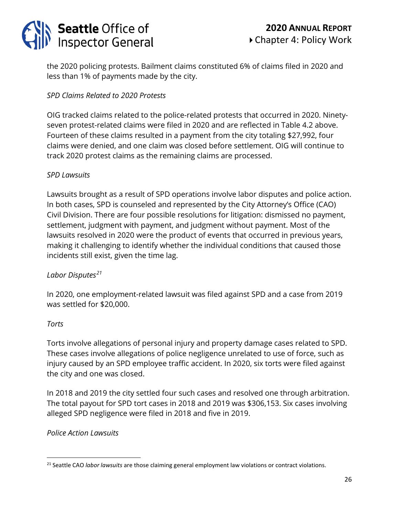

the 2020 policing protests. Bailment claims constituted 6% of claims filed in 2020 and less than 1% of payments made by the city.

### *SPD Claims Related to 2020 Protests*

OIG tracked claims related to the police-related protests that occurred in 2020. Ninetyseven protest-related claims were filed in 2020 and are reflected in Table 4.2 above. Fourteen of these claims resulted in a payment from the city totaling \$27,992, four claims were denied, and one claim was closed before settlement. OIG will continue to track 2020 protest claims as the remaining claims are processed.

### *SPD Lawsuits*

Lawsuits brought as a result of SPD operations involve labor disputes and police action. In both cases, SPD is counseled and represented by the City Attorney's Office (CAO) Civil Division. There are four possible resolutions for litigation: dismissed no payment, settlement, judgment with payment, and judgment without payment. Most of the lawsuits resolved in 2020 were the product of events that occurred in previous years, making it challenging to identify whether the individual conditions that caused those incidents still exist, given the time lag.

### *Labor Disputes[21](#page-25-0)*

In 2020, one employment-related lawsuit was filed against SPD and a case from 2019 was settled for \$20,000.

#### *Torts*

Torts involve allegations of personal injury and property damage cases related to SPD. These cases involve allegations of police negligence unrelated to use of force, such as injury caused by an SPD employee traffic accident. In 2020, six torts were filed against the city and one was closed.

In 2018 and 2019 the city settled four such cases and resolved one through arbitration. The total payout for SPD tort cases in 2018 and 2019 was \$306,153. Six cases involving alleged SPD negligence were filed in 2018 and five in 2019.

#### *Police Action Lawsuits*

<span id="page-25-0"></span><sup>21</sup> Seattle CAO *labor lawsuits* are those claiming general employment law violations or contract violations.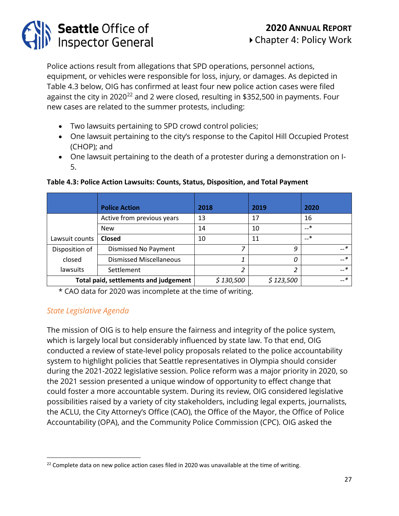Police actions result from allegations that SPD operations, personnel actions, equipment, or vehicles were responsible for loss, injury, or damages. As depicted in Table 4.3 below, OIG has confirmed at least four new police action cases were filed against the city in 2020<sup>[22](#page-26-0)</sup> and 2 were closed, resulting in \$352,500 in payments. Four new cases are related to the summer protests, including:

• Two lawsuits pertaining to SPD crowd control policies;

**Seattle Office of<br>Inspector General** 

- One lawsuit pertaining to the city's response to the Capitol Hill Occupied Protest (CHOP); and
- One lawsuit pertaining to the death of a protester during a demonstration on I-5.

|                | <b>Police Action</b>                  | 2018      | 2019      | 2020  |
|----------------|---------------------------------------|-----------|-----------|-------|
|                | Active from previous years            | 13        | 17        | 16    |
|                | <b>New</b>                            | 14        | 10        | —*    |
| Lawsuit counts | <b>Closed</b>                         | 10        | 11        | …*    |
| Disposition of | Dismissed No Payment                  | 7         | 9         | — *   |
| closed         | <b>Dismissed Miscellaneous</b>        | 1         |           | — *   |
| lawsuits       | Settlement                            | 2         |           | $-$ * |
|                | Total paid, settlements and judgement | \$130,500 | \$123,500 | $-$ * |

#### **Table 4.3: Police Action Lawsuits: Counts, Status, Disposition, and Total Payment**

\* CAO data for 2020 was incomplete at the time of writing.

### *State Legislative Agenda*

The mission of OIG is to help ensure the fairness and integrity of the police system, which is largely local but considerably influenced by state law. To that end, OIG conducted a review of state-level policy proposals related to the police accountability system to highlight policies that Seattle representatives in Olympia should consider during the 2021-2022 legislative session. Police reform was a major priority in 2020, so the 2021 session presented a unique window of opportunity to effect change that could foster a more accountable system. During its review, OIG considered legislative possibilities raised by a variety of city stakeholders, including legal experts, journalists, the ACLU, the City Attorney's Office (CAO), the Office of the Mayor, the Office of Police Accountability (OPA), and the Community Police Commission (CPC). OIG asked the

<span id="page-26-0"></span> $22$  Complete data on new police action cases filed in 2020 was unavailable at the time of writing.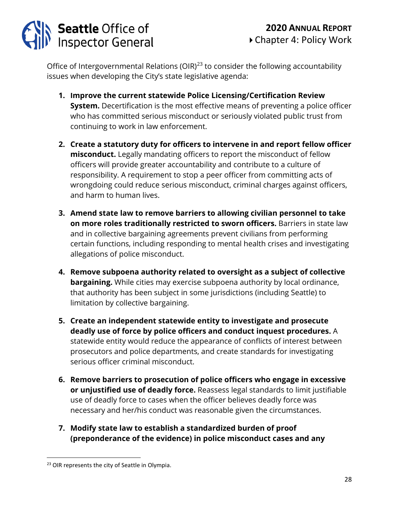

Office of Intergovernmental Relations (OIR) $^{23}$  $^{23}$  $^{23}$  to consider the following accountability issues when developing the City's state legislative agenda:

- **1. Improve the current statewide Police Licensing/Certification Review System.** Decertification is the most effective means of preventing a police officer who has committed serious misconduct or seriously violated public trust from continuing to work in law enforcement.
- **2. Create a statutory duty for officers to intervene in and report fellow officer misconduct.** Legally mandating officers to report the misconduct of fellow officers will provide greater accountability and contribute to a culture of responsibility. A requirement to stop a peer officer from committing acts of wrongdoing could reduce serious misconduct, criminal charges against officers, and harm to human lives.
- **3. Amend state law to remove barriers to allowing civilian personnel to take on more roles traditionally restricted to sworn officers.** Barriers in state law and in collective bargaining agreements prevent civilians from performing certain functions, including responding to mental health crises and investigating allegations of police misconduct.
- **4. Remove subpoena authority related to oversight as a subject of collective bargaining.** While cities may exercise subpoena authority by local ordinance, that authority has been subject in some jurisdictions (including Seattle) to limitation by collective bargaining.
- **5. Create an independent statewide entity to investigate and prosecute deadly use of force by police officers and conduct inquest procedures.** A statewide entity would reduce the appearance of conflicts of interest between prosecutors and police departments, and create standards for investigating serious officer criminal misconduct.
- **6. Remove barriers to prosecution of police officers who engage in excessive or unjustified use of deadly force.** Reassess legal standards to limit justifiable use of deadly force to cases when the officer believes deadly force was necessary and her/his conduct was reasonable given the circumstances.
- **7. Modify state law to establish a standardized burden of proof (preponderance of the evidence) in police misconduct cases and any**

<span id="page-27-0"></span><sup>&</sup>lt;sup>23</sup> OIR represents the city of Seattle in Olympia.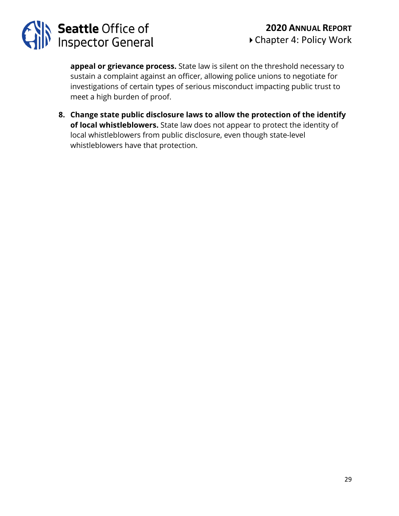

**appeal or grievance process.** State law is silent on the threshold necessary to sustain a complaint against an officer, allowing police unions to negotiate for investigations of certain types of serious misconduct impacting public trust to meet a high burden of proof.

**8. Change state public disclosure laws to allow the protection of the identify of local whistleblowers.** State law does not appear to protect the identity of local whistleblowers from public disclosure, even though state-level whistleblowers have that protection.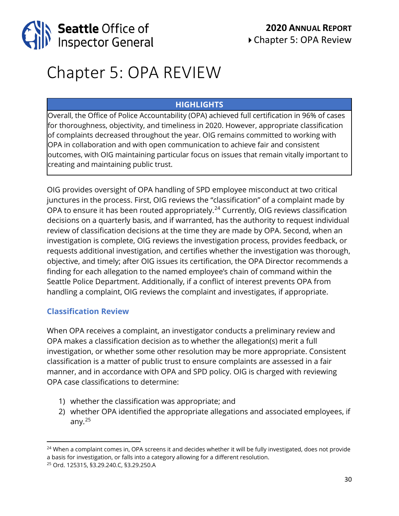

### Chapter 5: OPA REVIEW

### **HIGHLIGHTS**

Overall, the Office of Police Accountability (OPA) achieved full certification in 96% of cases for thoroughness, objectivity, and timeliness in 2020. However, appropriate classification of complaints decreased throughout the year. OIG remains committed to working with OPA in collaboration and with open communication to achieve fair and consistent outcomes, with OIG maintaining particular focus on issues that remain vitally important to creating and maintaining public trust.

OIG provides oversight of OPA handling of SPD employee misconduct at two critical junctures in the process. First, OIG reviews the "classification" of a complaint made by OPA to ensure it has been routed appropriately.<sup>[24](#page-29-0)</sup> Currently, OIG reviews classification decisions on a quarterly basis, and if warranted, has the authority to request individual review of classification decisions at the time they are made by OPA. Second, when an investigation is complete, OIG reviews the investigation process, provides feedback, or requests additional investigation, and certifies whether the investigation was thorough, objective, and timely; after OIG issues its certification, the OPA Director recommends a finding for each allegation to the named employee's chain of command within the Seattle Police Department. Additionally, if a conflict of interest prevents OPA from handling a complaint, OIG reviews the complaint and investigates, if appropriate.

### **Classification Review**

When OPA receives a complaint, an investigator conducts a preliminary review and OPA makes a classification decision as to whether the allegation(s) merit a full investigation, or whether some other resolution may be more appropriate. Consistent classification is a matter of public trust to ensure complaints are assessed in a fair manner, and in accordance with OPA and SPD policy. OIG is charged with reviewing OPA case classifications to determine:

- 1) whether the classification was appropriate; and
- 2) whether OPA identified the appropriate allegations and associated employees, if any. $^{25}$  $^{25}$  $^{25}$

<span id="page-29-0"></span><sup>&</sup>lt;sup>24</sup> When a complaint comes in, OPA screens it and decides whether it will be fully investigated, does not provide a basis for investigation, or falls into a category allowing for a different resolution.

<span id="page-29-1"></span><sup>25</sup> Ord. 125315, §3.29.240.C, §3.29.250.A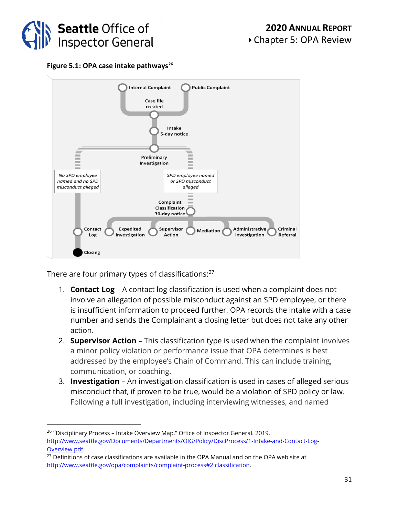

**Figure 5.1: OPA case intake pathways[26](#page-30-0)**



There are four primary types of classifications: $27$ 

- 1. **Contact Log** A contact log classification is used when a complaint does not involve an allegation of possible misconduct against an SPD employee, or there is insufficient information to proceed further. OPA records the intake with a case number and sends the Complainant a closing letter but does not take any other action.
- 2. **Supervisor Action** This classification type is used when the complaint involves a minor policy violation or performance issue that OPA determines is best addressed by the employee's Chain of Command. This can include training, communication, or coaching.
- 3. **Investigation** An investigation classification is used in cases of alleged serious misconduct that, if proven to be true, would be a violation of SPD policy or law. Following a full investigation, including interviewing witnesses, and named

<span id="page-30-0"></span><sup>&</sup>lt;sup>26</sup> "Disciplinary Process – Intake Overview Map." Office of Inspector General. 2019. [http://www.seattle.gov/Documents/Departments/OIG/Policy/DiscProcess/1-Intake-and-Contact-Log-](http://www.seattle.gov/Documents/Departments/OIG/Policy/DiscProcess/1-Intake-and-Contact-Log-Overview.pdf)[Overview.pdf](http://www.seattle.gov/Documents/Departments/OIG/Policy/DiscProcess/1-Intake-and-Contact-Log-Overview.pdf)

<span id="page-30-1"></span> $27$  Definitions of case classifications are available in the OPA Manual and on the OPA web site at [http://www.seattle.gov/opa/complaints/complaint-process#2.classification.](http://www.seattle.gov/opa/complaints/complaint-process#2.classification)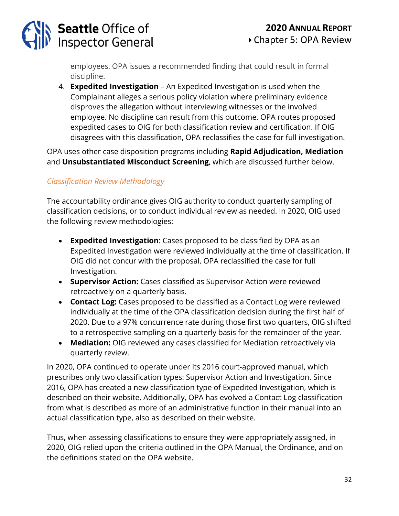

employees, OPA issues a recommended finding that could result in formal discipline.

4. **Expedited Investigation** – An Expedited Investigation is used when the Complainant alleges a serious policy violation where preliminary evidence disproves the allegation without interviewing witnesses or the involved employee. No discipline can result from this outcome. OPA routes proposed expedited cases to OIG for both classification review and certification. If OIG disagrees with this classification, OPA reclassifies the case for full investigation.

OPA uses other case disposition programs including **Rapid Adjudication, Mediation** and **Unsubstantiated Misconduct Screening**, which are discussed further below.

### *Classification Review Methodology*

The accountability ordinance gives OIG authority to conduct quarterly sampling of classification decisions, or to conduct individual review as needed. In 2020, OIG used the following review methodologies:

- **Expedited Investigation**: Cases proposed to be classified by OPA as an Expedited Investigation were reviewed individually at the time of classification. If OIG did not concur with the proposal, OPA reclassified the case for full Investigation.
- **Supervisor Action:** Cases classified as Supervisor Action were reviewed retroactively on a quarterly basis.
- **Contact Log:** Cases proposed to be classified as a Contact Log were reviewed individually at the time of the OPA classification decision during the first half of 2020. Due to a 97% concurrence rate during those first two quarters, OIG shifted to a retrospective sampling on a quarterly basis for the remainder of the year.
- **Mediation:** OIG reviewed any cases classified for Mediation retroactively via quarterly review.

In 2020, OPA continued to operate under its 2016 court-approved manual, which prescribes only two classification types: Supervisor Action and Investigation. Since 2016, OPA has created a new classification type of Expedited Investigation, which is described on their website. Additionally, OPA has evolved a Contact Log classification from what is described as more of an administrative function in their manual into an actual classification type, also as described on their website.

Thus, when assessing classifications to ensure they were appropriately assigned, in 2020, OIG relied upon the criteria outlined in the OPA Manual, the Ordinance, and on the definitions stated on the OPA website.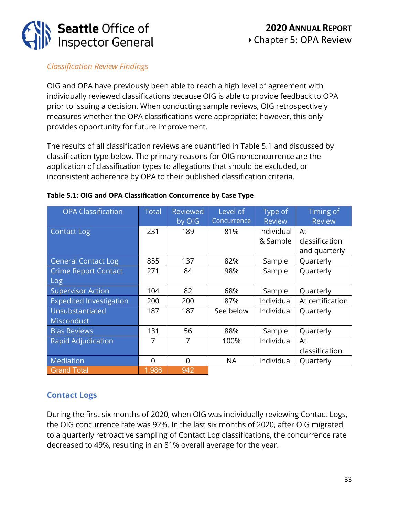

### *Classification Review Findings*

OIG and OPA have previously been able to reach a high level of agreement with individually reviewed classifications because OIG is able to provide feedback to OPA prior to issuing a decision. When conducting sample reviews, OIG retrospectively measures whether the OPA classifications were appropriate; however, this only provides opportunity for future improvement.

The results of all classification reviews are quantified in Table 5.1 and discussed by classification type below. The primary reasons for OIG nonconcurrence are the application of classification types to allegations that should be excluded, or inconsistent adherence by OPA to their published classification criteria.

| <b>OPA Classification</b>      | <b>Total</b> | <b>Reviewed</b> | Level of    | Type of       | Timing of        |
|--------------------------------|--------------|-----------------|-------------|---------------|------------------|
|                                |              | by OIG          | Concurrence | <b>Review</b> | <b>Review</b>    |
| <b>Contact Log</b>             | 231          | 189             | 81%         | Individual    | At               |
|                                |              |                 |             | & Sample      | classification   |
|                                |              |                 |             |               | and quarterly    |
| <b>General Contact Log</b>     | 855          | 137             | 82%         | Sample        | Quarterly        |
| <b>Crime Report Contact</b>    | 271          | 84              | 98%         | Sample        | Quarterly        |
| <b>Log</b>                     |              |                 |             |               |                  |
| <b>Supervisor Action</b>       | 104          | 82              | 68%         | Sample        | Quarterly        |
| <b>Expedited Investigation</b> | 200          | 200             | 87%         | Individual    | At certification |
| Unsubstantiated                | 187          | 187             | See below   | Individual    | Quarterly        |
| <b>Misconduct</b>              |              |                 |             |               |                  |
| <b>Bias Reviews</b>            | 131          | 56              | 88%         | Sample        | Quarterly        |
| <b>Rapid Adjudication</b>      | 7            | 7               | 100%        | Individual    | At               |
|                                |              |                 |             |               | classification   |
| Mediation                      | $\Omega$     | $\Omega$        | <b>NA</b>   | Individual    | Quarterly        |
| <b>Grand Total</b>             | 1,986        | 942             |             |               |                  |

#### **Table 5.1: OIG and OPA Classification Concurrence by Case Type**

### **Contact Logs**

During the first six months of 2020, when OIG was individually reviewing Contact Logs, the OIG concurrence rate was 92%. In the last six months of 2020, after OIG migrated to a quarterly retroactive sampling of Contact Log classifications, the concurrence rate decreased to 49%, resulting in an 81% overall average for the year.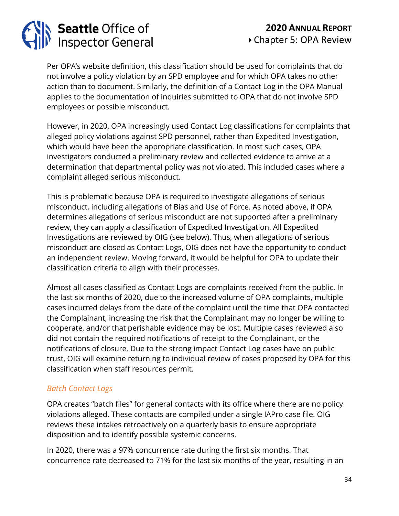

Per OPA's website definition, this classification should be used for complaints that do not involve a policy violation by an SPD employee and for which OPA takes no other action than to document. Similarly, the definition of a Contact Log in the OPA Manual applies to the documentation of inquiries submitted to OPA that do not involve SPD employees or possible misconduct.

However, in 2020, OPA increasingly used Contact Log classifications for complaints that alleged policy violations against SPD personnel, rather than Expedited Investigation, which would have been the appropriate classification. In most such cases, OPA investigators conducted a preliminary review and collected evidence to arrive at a determination that departmental policy was not violated. This included cases where a complaint alleged serious misconduct.

This is problematic because OPA is required to investigate allegations of serious misconduct, including allegations of Bias and Use of Force. As noted above, if OPA determines allegations of serious misconduct are not supported after a preliminary review, they can apply a classification of Expedited Investigation. All Expedited Investigations are reviewed by OIG (see below). Thus, when allegations of serious misconduct are closed as Contact Logs, OIG does not have the opportunity to conduct an independent review. Moving forward, it would be helpful for OPA to update their classification criteria to align with their processes.

Almost all cases classified as Contact Logs are complaints received from the public. In the last six months of 2020, due to the increased volume of OPA complaints, multiple cases incurred delays from the date of the complaint until the time that OPA contacted the Complainant, increasing the risk that the Complainant may no longer be willing to cooperate, and/or that perishable evidence may be lost. Multiple cases reviewed also did not contain the required notifications of receipt to the Complainant, or the notifications of closure. Due to the strong impact Contact Log cases have on public trust, OIG will examine returning to individual review of cases proposed by OPA for this classification when staff resources permit.

### *Batch Contact Logs*

OPA creates "batch files" for general contacts with its office where there are no policy violations alleged. These contacts are compiled under a single IAPro case file. OIG reviews these intakes retroactively on a quarterly basis to ensure appropriate disposition and to identify possible systemic concerns.

In 2020, there was a 97% concurrence rate during the first six months. That concurrence rate decreased to 71% for the last six months of the year, resulting in an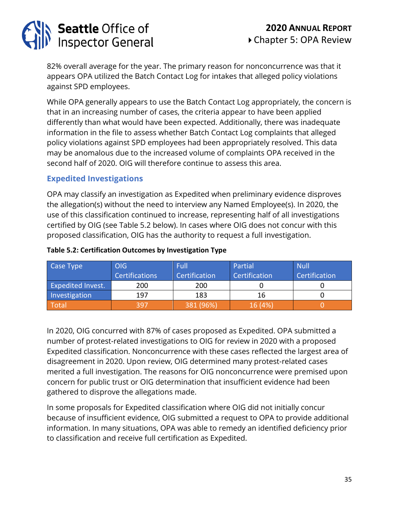

82% overall average for the year. The primary reason for nonconcurrence was that it appears OPA utilized the Batch Contact Log for intakes that alleged policy violations against SPD employees.

While OPA generally appears to use the Batch Contact Log appropriately, the concern is that in an increasing number of cases, the criteria appear to have been applied differently than what would have been expected. Additionally, there was inadequate information in the file to assess whether Batch Contact Log complaints that alleged policy violations against SPD employees had been appropriately resolved. This data may be anomalous due to the increased volume of complaints OPA received in the second half of 2020. OIG will therefore continue to assess this area.

### **Expedited Investigations**

OPA may classify an investigation as Expedited when preliminary evidence disproves the allegation(s) without the need to interview any Named Employee(s). In 2020, the use of this classification continued to increase, representing half of all investigations certified by OIG (see Table 5.2 below). In cases where OIG does not concur with this proposed classification, OIG has the authority to request a full investigation.

| Case Type                | OIG                   | Full          | Partial       | <b>Null</b>   |
|--------------------------|-----------------------|---------------|---------------|---------------|
|                          | <b>Certifications</b> | Certification | Certification | Certification |
| <b>Expedited Invest.</b> | 200                   | 200           |               |               |
| Investigation            | 197                   | 183           | 16            |               |
| Total                    | 397                   | 381 (96%)     | 16 (4%)       |               |

#### **Table 5.2: Certification Outcomes by Investigation Type**

In 2020, OIG concurred with 87% of cases proposed as Expedited. OPA submitted a number of protest-related investigations to OIG for review in 2020 with a proposed Expedited classification. Nonconcurrence with these cases reflected the largest area of disagreement in 2020. Upon review, OIG determined many protest-related cases merited a full investigation. The reasons for OIG nonconcurrence were premised upon concern for public trust or OIG determination that insufficient evidence had been gathered to disprove the allegations made.

In some proposals for Expedited classification where OIG did not initially concur because of insufficient evidence, OIG submitted a request to OPA to provide additional information. In many situations, OPA was able to remedy an identified deficiency prior to classification and receive full certification as Expedited.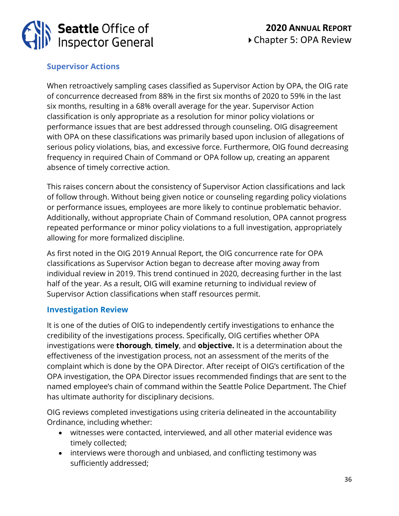

### **Supervisor Actions**

When retroactively sampling cases classified as Supervisor Action by OPA, the OIG rate of concurrence decreased from 88% in the first six months of 2020 to 59% in the last six months, resulting in a 68% overall average for the year. Supervisor Action classification is only appropriate as a resolution for minor policy violations or performance issues that are best addressed through counseling. OIG disagreement with OPA on these classifications was primarily based upon inclusion of allegations of serious policy violations, bias, and excessive force. Furthermore, OIG found decreasing frequency in required Chain of Command or OPA follow up, creating an apparent absence of timely corrective action.

This raises concern about the consistency of Supervisor Action classifications and lack of follow through. Without being given notice or counseling regarding policy violations or performance issues, employees are more likely to continue problematic behavior. Additionally, without appropriate Chain of Command resolution, OPA cannot progress repeated performance or minor policy violations to a full investigation, appropriately allowing for more formalized discipline.

As first noted in the OIG 2019 Annual Report, the OIG concurrence rate for OPA classifications as Supervisor Action began to decrease after moving away from individual review in 2019. This trend continued in 2020, decreasing further in the last half of the year. As a result, OIG will examine returning to individual review of Supervisor Action classifications when staff resources permit.

### **Investigation Review**

It is one of the duties of OIG to independently certify investigations to enhance the credibility of the investigations process. Specifically, OIG certifies whether OPA investigations were **thorough**, **timely**, and **objective.** It is a determination about the effectiveness of the investigation process, not an assessment of the merits of the complaint which is done by the OPA Director. After receipt of OIG's certification of the OPA investigation, the OPA Director issues recommended findings that are sent to the named employee's chain of command within the Seattle Police Department. The Chief has ultimate authority for disciplinary decisions.

OIG reviews completed investigations using criteria delineated in the accountability Ordinance, including whether:

- witnesses were contacted, interviewed, and all other material evidence was timely collected;
- interviews were thorough and unbiased, and conflicting testimony was sufficiently addressed;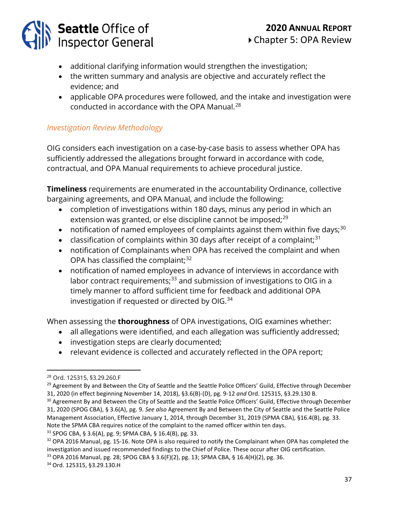### **2020 ANNUAL REPORT** Chapter 5: OPA Review

- additional clarifying information would strengthen the investigation;
- the written summary and analysis are objective and accurately reflect the evidence; and
- applicable OPA procedures were followed, and the intake and investigation were conducted in accordance with the OPA Manual.<sup>[28](#page-36-0)</sup>

### *Investigation Review Methodology*

OIG considers each investigation on a case-by-case basis to assess whether OPA has sufficiently addressed the allegations brought forward in accordance with code, contractual, and OPA Manual requirements to achieve procedural justice.

**Timeliness** requirements are enumerated in the accountability Ordinance, collective bargaining agreements, and OPA Manual, and include the following:

- completion of investigations within 180 days, minus any period in which an extension was granted, or else discipline cannot be imposed;<sup>[29](#page-36-1)</sup>
- notification of named employees of complaints against them within five days;<sup>[30](#page-36-2)</sup>
- classification of complaints within 30 days after receipt of a complaint;<sup>[31](#page-36-3)</sup>
- notification of Complainants when OPA has received the complaint and when OPA has classified the complaint; $32$
- notification of named employees in advance of interviews in accordance with labor contract requirements; $33$  and submission of investigations to OIG in a timely manner to afford sufficient time for feedback and additional OPA investigation if requested or directed by OIG.<sup>[34](#page-36-6)</sup>

When assessing the **thoroughness** of OPA investigations, OIG examines whether:

- all allegations were identified, and each allegation was sufficiently addressed;
- investigation steps are clearly documented;
- relevant evidence is collected and accurately reflected in the OPA report;

<span id="page-36-0"></span><sup>28</sup> Ord. 125315, §3.29.260.F

<span id="page-36-1"></span><sup>&</sup>lt;sup>29</sup> Agreement By and Between the City of Seattle and the Seattle Police Officers' Guild, Effective through December 31, 2020 (in effect beginning November 14, 2018), §3.6(B)-(D), pg. 9-12 *and* Ord. 125315, §3.29.130 B.

<span id="page-36-2"></span><sup>&</sup>lt;sup>30</sup> Agreement By and Between the City of Seattle and the Seattle Police Officers' Guild, Effective through December 31, 2020 (SPOG CBA), § 3.6(A), pg. 9. *See also* Agreement By and Between the City of Seattle and the Seattle Police Management Association, Effective January 1, 2014, through December 31, 2019 (SPMA CBA), §16.4(B), pg. 33. Note the SPMA CBA requires notice of the complaint to the named officer within ten days.

<span id="page-36-3"></span><sup>31</sup> SPOG CBA, § 3.6(A), pg. 9; SPMA CBA, § 16.4(B), pg. 33.

<span id="page-36-4"></span><sup>&</sup>lt;sup>32</sup> OPA 2016 Manual, pg. 15-16. Note OPA is also required to notify the Complainant when OPA has completed the investigation and issued recommended findings to the Chief of Police. These occur after OIG certification. <sup>33</sup> OPA 2016 Manual, pg. 28; SPOG CBA § 3.6(F)(2), pg. 13; SPMA CBA, § 16.4(H)(2), pg. 36. <sup>34</sup> Ord. 125315, §3.29.130.H

<span id="page-36-6"></span><span id="page-36-5"></span>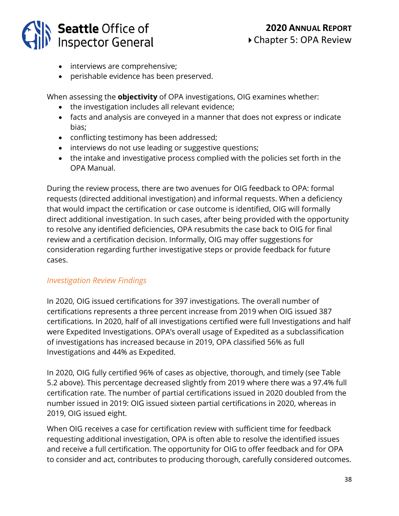

- interviews are comprehensive;
- perishable evidence has been preserved.

When assessing the **objectivity** of OPA investigations, OIG examines whether:

- the investigation includes all relevant evidence;
- facts and analysis are conveyed in a manner that does not express or indicate bias;
- conflicting testimony has been addressed;
- interviews do not use leading or suggestive questions;
- the intake and investigative process complied with the policies set forth in the OPA Manual.

During the review process, there are two avenues for OIG feedback to OPA: formal requests (directed additional investigation) and informal requests. When a deficiency that would impact the certification or case outcome is identified, OIG will formally direct additional investigation. In such cases, after being provided with the opportunity to resolve any identified deficiencies, OPA resubmits the case back to OIG for final review and a certification decision. Informally, OIG may offer suggestions for consideration regarding further investigative steps or provide feedback for future cases.

### *Investigation Review Findings*

In 2020, OIG issued certifications for 397 investigations. The overall number of certifications represents a three percent increase from 2019 when OIG issued 387 certifications. In 2020, half of all investigations certified were full Investigations and half were Expedited Investigations. OPA's overall usage of Expedited as a subclassification of investigations has increased because in 2019, OPA classified 56% as full Investigations and 44% as Expedited.

In 2020, OIG fully certified 96% of cases as objective, thorough, and timely (see Table 5.2 above). This percentage decreased slightly from 2019 where there was a 97.4% full certification rate. The number of partial certifications issued in 2020 doubled from the number issued in 2019: OIG issued sixteen partial certifications in 2020, whereas in 2019, OIG issued eight.

When OIG receives a case for certification review with sufficient time for feedback requesting additional investigation, OPA is often able to resolve the identified issues and receive a full certification. The opportunity for OIG to offer feedback and for OPA to consider and act, contributes to producing thorough, carefully considered outcomes.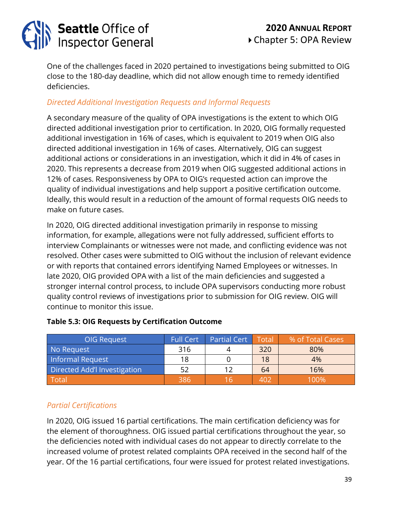

One of the challenges faced in 2020 pertained to investigations being submitted to OIG close to the 180-day deadline, which did not allow enough time to remedy identified deficiencies.

### *Directed Additional Investigation Requests and Informal Requests*

A secondary measure of the quality of OPA investigations is the extent to which OIG directed additional investigation prior to certification. In 2020, OIG formally requested additional investigation in 16% of cases, which is equivalent to 2019 when OIG also directed additional investigation in 16% of cases. Alternatively, OIG can suggest additional actions or considerations in an investigation, which it did in 4% of cases in 2020. This represents a decrease from 2019 when OIG suggested additional actions in 12% of cases. Responsiveness by OPA to OIG's requested action can improve the quality of individual investigations and help support a positive certification outcome. Ideally, this would result in a reduction of the amount of formal requests OIG needs to make on future cases.

In 2020, OIG directed additional investigation primarily in response to missing information, for example, allegations were not fully addressed, sufficient efforts to interview Complainants or witnesses were not made, and conflicting evidence was not resolved. Other cases were submitted to OIG without the inclusion of relevant evidence or with reports that contained errors identifying Named Employees or witnesses. In late 2020, OIG provided OPA with a list of the main deficiencies and suggested a stronger internal control process, to include OPA supervisors conducting more robust quality control reviews of investigations prior to submission for OIG review. OIG will continue to monitor this issue.

| OIG Request                  | <b>Full Cert</b> | Partial Cert Total |     | % of Total Cases |
|------------------------------|------------------|--------------------|-----|------------------|
| No Request                   | 316              |                    | 320 | 80%              |
| Informal Request             | 18               |                    | 18  | 4%               |
| Directed Add'l Investigation | 52               |                    | 64  | 16%              |
| Total                        | 386              | l h                | 402 | 100%             |

### **Table 5.3: OIG Requests by Certification Outcome**

### *Partial Certifications*

In 2020, OIG issued 16 partial certifications. The main certification deficiency was for the element of thoroughness. OIG issued partial certifications throughout the year, so the deficiencies noted with individual cases do not appear to directly correlate to the increased volume of protest related complaints OPA received in the second half of the year. Of the 16 partial certifications, four were issued for protest related investigations.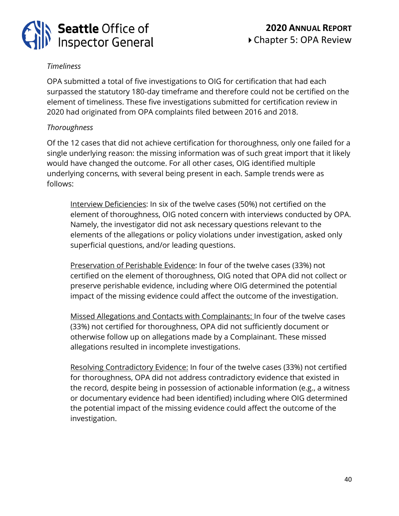

### *Timeliness*

OPA submitted a total of five investigations to OIG for certification that had each surpassed the statutory 180-day timeframe and therefore could not be certified on the element of timeliness. These five investigations submitted for certification review in 2020 had originated from OPA complaints filed between 2016 and 2018.

### *Thoroughness*

Of the 12 cases that did not achieve certification for thoroughness, only one failed for a single underlying reason: the missing information was of such great import that it likely would have changed the outcome. For all other cases, OIG identified multiple underlying concerns, with several being present in each. Sample trends were as follows:

Interview Deficiencies: In six of the twelve cases (50%) not certified on the element of thoroughness, OIG noted concern with interviews conducted by OPA. Namely, the investigator did not ask necessary questions relevant to the elements of the allegations or policy violations under investigation, asked only superficial questions, and/or leading questions.

Preservation of Perishable Evidence: In four of the twelve cases (33%) not certified on the element of thoroughness, OIG noted that OPA did not collect or preserve perishable evidence, including where OIG determined the potential impact of the missing evidence could affect the outcome of the investigation.

Missed Allegations and Contacts with Complainants: In four of the twelve cases (33%) not certified for thoroughness, OPA did not sufficiently document or otherwise follow up on allegations made by a Complainant. These missed allegations resulted in incomplete investigations.

Resolving Contradictory Evidence: In four of the twelve cases (33%) not certified for thoroughness, OPA did not address contradictory evidence that existed in the record, despite being in possession of actionable information (e.g., a witness or documentary evidence had been identified) including where OIG determined the potential impact of the missing evidence could affect the outcome of the investigation.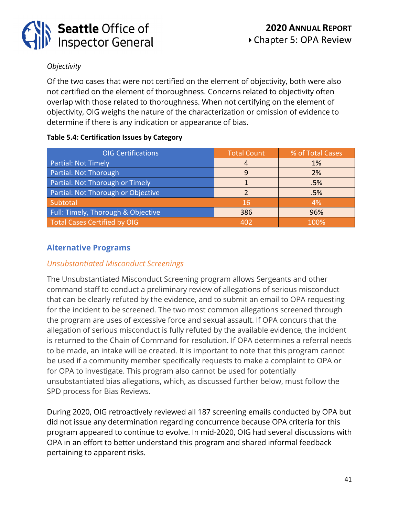

### *Objectivity*

Of the two cases that were not certified on the element of objectivity, both were also not certified on the element of thoroughness. Concerns related to objectivity often overlap with those related to thoroughness. When not certifying on the element of objectivity, OIG weighs the nature of the characterization or omission of evidence to determine if there is any indication or appearance of bias.

### **Table 5.4: Certification Issues by Category**

| <b>OIG Certifications</b>          | <b>Total Count</b> | % of Total Cases |
|------------------------------------|--------------------|------------------|
| Partial: Not Timely                |                    | 1%               |
| Partial: Not Thorough              |                    | 2%               |
| Partial: Not Thorough or Timely    |                    | .5%              |
| Partial: Not Thorough or Objective |                    | .5%              |
| Subtotal                           | 16                 | 4%               |
| Full: Timely, Thorough & Objective | 386                | 96%              |
| Total Cases Certified by OIG       | 402                | 100%             |

### **Alternative Programs**

### *Unsubstantiated Misconduct Screenings*

The Unsubstantiated Misconduct Screening program allows Sergeants and other command staff to conduct a preliminary review of allegations of serious misconduct that can be clearly refuted by the evidence, and to submit an email to OPA requesting for the incident to be screened. The two most common allegations screened through the program are uses of excessive force and sexual assault. If OPA concurs that the allegation of serious misconduct is fully refuted by the available evidence, the incident is returned to the Chain of Command for resolution. If OPA determines a referral needs to be made, an intake will be created. It is important to note that this program cannot be used if a community member specifically requests to make a complaint to OPA or for OPA to investigate. This program also cannot be used for potentially unsubstantiated bias allegations, which, as discussed further below, must follow the SPD process for Bias Reviews.

During 2020, OIG retroactively reviewed all 187 screening emails conducted by OPA but did not issue any determination regarding concurrence because OPA criteria for this program appeared to continue to evolve. In mid-2020, OIG had several discussions with OPA in an effort to better understand this program and shared informal feedback pertaining to apparent risks.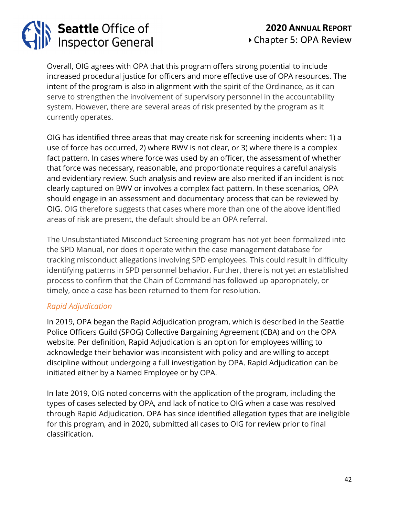

Overall, OIG agrees with OPA that this program offers strong potential to include increased procedural justice for officers and more effective use of OPA resources. The intent of the program is also in alignment with the spirit of the Ordinance, as it can serve to strengthen the involvement of supervisory personnel in the accountability system. However, there are several areas of risk presented by the program as it currently operates.

OIG has identified three areas that may create risk for screening incidents when: 1) a use of force has occurred, 2) where BWV is not clear, or 3) where there is a complex fact pattern. In cases where force was used by an officer, the assessment of whether that force was necessary, reasonable, and proportionate requires a careful analysis and evidentiary review. Such analysis and review are also merited if an incident is not clearly captured on BWV or involves a complex fact pattern. In these scenarios, OPA should engage in an assessment and documentary process that can be reviewed by OIG. OIG therefore suggests that cases where more than one of the above identified areas of risk are present, the default should be an OPA referral.

The Unsubstantiated Misconduct Screening program has not yet been formalized into the SPD Manual, nor does it operate within the case management database for tracking misconduct allegations involving SPD employees. This could result in difficulty identifying patterns in SPD personnel behavior. Further, there is not yet an established process to confirm that the Chain of Command has followed up appropriately, or timely, once a case has been returned to them for resolution.

### *Rapid Adjudication*

In 2019, OPA began the Rapid Adjudication program, which is described in the Seattle Police Officers Guild (SPOG) Collective Bargaining Agreement (CBA) and on the OPA website. Per definition, Rapid Adjudication is an option for employees willing to acknowledge their behavior was inconsistent with policy and are willing to accept discipline without undergoing a full investigation by OPA. Rapid Adjudication can be initiated either by a Named Employee or by OPA.

In late 2019, OIG noted concerns with the application of the program, including the types of cases selected by OPA, and lack of notice to OIG when a case was resolved through Rapid Adjudication. OPA has since identified allegation types that are ineligible for this program, and in 2020, submitted all cases to OIG for review prior to final classification.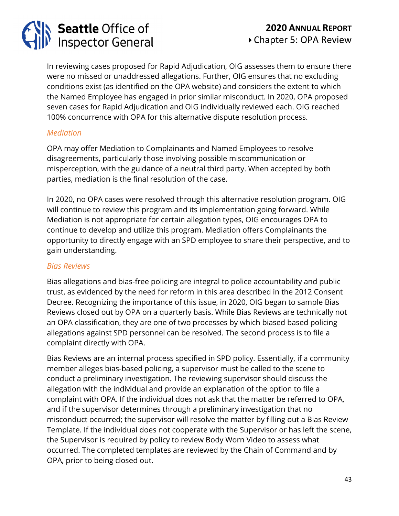# **Seattle Office of<br>Inspector General**

In reviewing cases proposed for Rapid Adjudication, OIG assesses them to ensure there were no missed or unaddressed allegations. Further, OIG ensures that no excluding conditions exist (as identified on the OPA website) and considers the extent to which the Named Employee has engaged in prior similar misconduct. In 2020, OPA proposed seven cases for Rapid Adjudication and OIG individually reviewed each. OIG reached 100% concurrence with OPA for this alternative dispute resolution process.

### *Mediation*

OPA may offer Mediation to Complainants and Named Employees to resolve disagreements, particularly those involving possible miscommunication or misperception, with the guidance of a neutral third party. When accepted by both parties, mediation is the final resolution of the case.

In 2020, no OPA cases were resolved through this alternative resolution program. OIG will continue to review this program and its implementation going forward. While Mediation is not appropriate for certain allegation types, OIG encourages OPA to continue to develop and utilize this program. Mediation offers Complainants the opportunity to directly engage with an SPD employee to share their perspective, and to gain understanding.

### *Bias Reviews*

Bias allegations and bias-free policing are integral to police accountability and public trust, as evidenced by the need for reform in this area described in the 2012 Consent Decree. Recognizing the importance of this issue, in 2020, OIG began to sample Bias Reviews closed out by OPA on a quarterly basis. While Bias Reviews are technically not an OPA classification, they are one of two processes by which biased based policing allegations against SPD personnel can be resolved. The second process is to file a complaint directly with OPA.

Bias Reviews are an internal process specified in SPD policy. Essentially, if a community member alleges bias-based policing, a supervisor must be called to the scene to conduct a preliminary investigation. The reviewing supervisor should discuss the allegation with the individual and provide an explanation of the option to file a complaint with OPA. If the individual does not ask that the matter be referred to OPA, and if the supervisor determines through a preliminary investigation that no misconduct occurred; the supervisor will resolve the matter by filling out a Bias Review Template. If the individual does not cooperate with the Supervisor or has left the scene, the Supervisor is required by policy to review Body Worn Video to assess what occurred. The completed templates are reviewed by the Chain of Command and by OPA, prior to being closed out.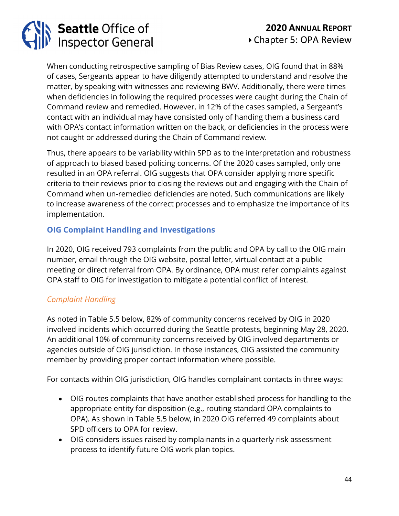

When conducting retrospective sampling of Bias Review cases, OIG found that in 88% of cases, Sergeants appear to have diligently attempted to understand and resolve the matter, by speaking with witnesses and reviewing BWV. Additionally, there were times when deficiencies in following the required processes were caught during the Chain of Command review and remedied. However, in 12% of the cases sampled, a Sergeant's contact with an individual may have consisted only of handing them a business card with OPA's contact information written on the back, or deficiencies in the process were not caught or addressed during the Chain of Command review.

Thus, there appears to be variability within SPD as to the interpretation and robustness of approach to biased based policing concerns. Of the 2020 cases sampled, only one resulted in an OPA referral. OIG suggests that OPA consider applying more specific criteria to their reviews prior to closing the reviews out and engaging with the Chain of Command when un-remedied deficiencies are noted. Such communications are likely to increase awareness of the correct processes and to emphasize the importance of its implementation.

### **OIG Complaint Handling and Investigations**

In 2020, OIG received 793 complaints from the public and OPA by call to the OIG main number, email through the OIG website, postal letter, virtual contact at a public meeting or direct referral from OPA. By ordinance, OPA must refer complaints against OPA staff to OIG for investigation to mitigate a potential conflict of interest.

### *Complaint Handling*

As noted in Table 5.5 below, 82% of community concerns received by OIG in 2020 involved incidents which occurred during the Seattle protests, beginning May 28, 2020. An additional 10% of community concerns received by OIG involved departments or agencies outside of OIG jurisdiction. In those instances, OIG assisted the community member by providing proper contact information where possible.

For contacts within OIG jurisdiction, OIG handles complainant contacts in three ways:

- OIG routes complaints that have another established process for handling to the appropriate entity for disposition (e.g., routing standard OPA complaints to OPA). As shown in Table 5.5 below, in 2020 OIG referred 49 complaints about SPD officers to OPA for review.
- OIG considers issues raised by complainants in a quarterly risk assessment process to identify future OIG work plan topics.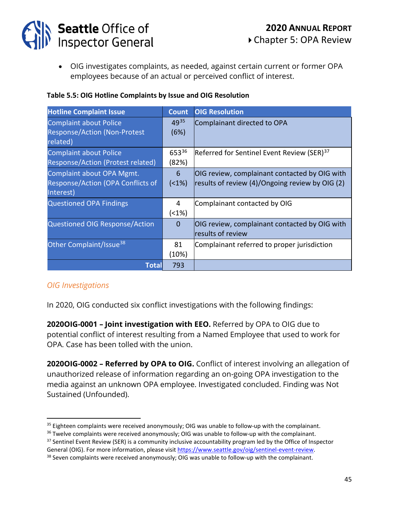

• OIG investigates complaints, as needed, against certain current or former OPA employees because of an actual or perceived conflict of interest.

| <b>Hotline Complaint Issue</b>           | <b>Count</b> | <b>OIG Resolution</b>                                  |
|------------------------------------------|--------------|--------------------------------------------------------|
| <b>Complaint about Police</b>            | 4935         | Complainant directed to OPA                            |
| <b>Response/Action (Non-Protest</b>      | (6%)         |                                                        |
| related)                                 |              |                                                        |
| <b>Complaint about Police</b>            | 65336        | Referred for Sentinel Event Review (SER) <sup>37</sup> |
| Response/Action (Protest related)        | (82%)        |                                                        |
| Complaint about OPA Mgmt.                | 6            | OIG review, complainant contacted by OIG with          |
| <b>Response/Action (OPA Conflicts of</b> | $(1\%)$      | results of review (4)/Ongoing review by OIG (2)        |
| Interest)                                |              |                                                        |
| <b>Questioned OPA Findings</b>           | 4            | Complainant contacted by OIG                           |
|                                          | $(1\%)$      |                                                        |
| Questioned OIG Response/Action           | $\Omega$     | OIG review, complainant contacted by OIG with          |
|                                          |              | results of review                                      |
| Other Complaint/Issue <sup>38</sup>      | 81           | Complainant referred to proper jurisdiction            |
|                                          | (10%)        |                                                        |
| Total                                    | 793          |                                                        |

### *OIG Investigations*

In 2020, OIG conducted six conflict investigations with the following findings:

**2020OIG-0001 – Joint investigation with EEO.** Referred by OPA to OIG due to potential conflict of interest resulting from a Named Employee that used to work for OPA. Case has been tolled with the union.

**2020OIG-0002 – Referred by OPA to OIG.** Conflict of interest involving an allegation of unauthorized release of information regarding an on-going OPA investigation to the media against an unknown OPA employee. Investigated concluded. Finding was Not Sustained (Unfounded).

<span id="page-44-0"></span><sup>&</sup>lt;sup>35</sup> Eighteen complaints were received anonymously; OIG was unable to follow-up with the complainant.

<span id="page-44-1"></span><sup>&</sup>lt;sup>36</sup> Twelve complaints were received anonymously; OIG was unable to follow-up with the complainant.

<span id="page-44-2"></span><sup>&</sup>lt;sup>37</sup> Sentinel Event Review (SER) is a community inclusive accountability program led by the Office of Inspector

General (OIG). For more information, please visi[t https://www.seattle.gov/oig/sentinel-event-review.](https://www.seattle.gov/oig/sentinel-event-review)

<span id="page-44-3"></span><sup>&</sup>lt;sup>38</sup> Seven complaints were received anonymously; OIG was unable to follow-up with the complainant.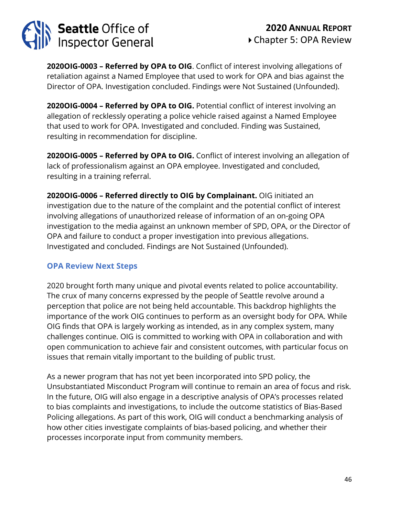

**2020OIG-0003 – Referred by OPA to OIG**. Conflict of interest involving allegations of retaliation against a Named Employee that used to work for OPA and bias against the Director of OPA. Investigation concluded. Findings were Not Sustained (Unfounded).

**2020OIG-0004 – Referred by OPA to OIG.** Potential conflict of interest involving an allegation of recklessly operating a police vehicle raised against a Named Employee that used to work for OPA. Investigated and concluded. Finding was Sustained, resulting in recommendation for discipline.

**2020OIG-0005 – Referred by OPA to OIG.** Conflict of interest involving an allegation of lack of professionalism against an OPA employee. Investigated and concluded, resulting in a training referral.

**2020OIG-0006 – Referred directly to OIG by Complainant.** OIG initiated an investigation due to the nature of the complaint and the potential conflict of interest involving allegations of unauthorized release of information of an on-going OPA investigation to the media against an unknown member of SPD, OPA, or the Director of OPA and failure to conduct a proper investigation into previous allegations. Investigated and concluded. Findings are Not Sustained (Unfounded).

### **OPA Review Next Steps**

2020 brought forth many unique and pivotal events related to police accountability. The crux of many concerns expressed by the people of Seattle revolve around a perception that police are not being held accountable. This backdrop highlights the importance of the work OIG continues to perform as an oversight body for OPA. While OIG finds that OPA is largely working as intended, as in any complex system, many challenges continue. OIG is committed to working with OPA in collaboration and with open communication to achieve fair and consistent outcomes, with particular focus on issues that remain vitally important to the building of public trust.

As a newer program that has not yet been incorporated into SPD policy, the Unsubstantiated Misconduct Program will continue to remain an area of focus and risk. In the future, OIG will also engage in a descriptive analysis of OPA's processes related to bias complaints and investigations, to include the outcome statistics of Bias-Based Policing allegations. As part of this work, OIG will conduct a benchmarking analysis of how other cities investigate complaints of bias-based policing, and whether their processes incorporate input from community members.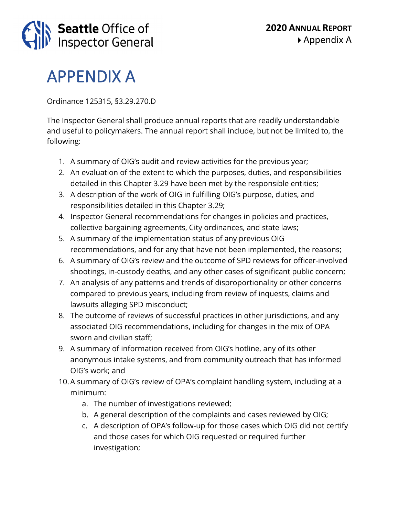

### APPENDIX A

Ordinance 125315, §3.29.270.D

The Inspector General shall produce annual reports that are readily understandable and useful to policymakers. The annual report shall include, but not be limited to, the following:

- 1. A summary of OIG's audit and review activities for the previous year;
- 2. An evaluation of the extent to which the purposes, duties, and responsibilities detailed in this Chapter 3.29 have been met by the responsible entities;
- 3. A description of the work of OIG in fulfilling OIG's purpose, duties, and responsibilities detailed in this Chapter 3.29;
- 4. Inspector General recommendations for changes in policies and practices, collective bargaining agreements, City ordinances, and state laws;
- 5. A summary of the implementation status of any previous OIG recommendations, and for any that have not been implemented, the reasons;
- 6. A summary of OIG's review and the outcome of SPD reviews for officer-involved shootings, in-custody deaths, and any other cases of significant public concern;
- 7. An analysis of any patterns and trends of disproportionality or other concerns compared to previous years, including from review of inquests, claims and lawsuits alleging SPD misconduct;
- 8. The outcome of reviews of successful practices in other jurisdictions, and any associated OIG recommendations, including for changes in the mix of OPA sworn and civilian staff;
- 9. A summary of information received from OIG's hotline, any of its other anonymous intake systems, and from community outreach that has informed OIG's work; and
- 10.A summary of OIG's review of OPA's complaint handling system, including at a minimum:
	- a. The number of investigations reviewed;
	- b. A general description of the complaints and cases reviewed by OIG;
	- c. A description of OPA's follow-up for those cases which OIG did not certify and those cases for which OIG requested or required further investigation;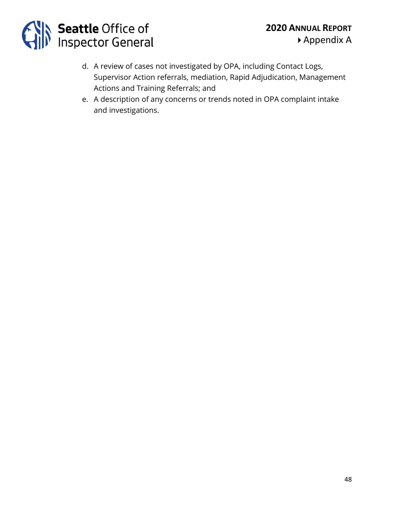

- d. A review of cases not investigated by OPA, including Contact Logs, Supervisor Action referrals, mediation, Rapid Adjudication, Management Actions and Training Referrals; and
- e. A description of any concerns or trends noted in OPA complaint intake and investigations.